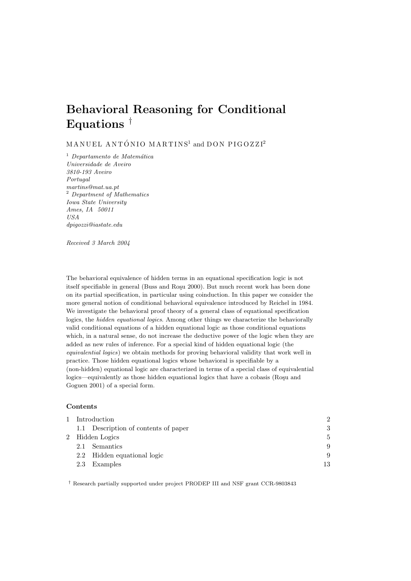# Behavioral Reasoning for Conditional Equations  $^{\dagger}$

 $M AN U E L AN TÓ NIO MARTINS<sup>1</sup> and DON PIGOZZI<sup>2</sup>$ 

 $<sup>1</sup>$  Departamento de Matemática</sup> Universidade de Aveiro 3810-193 Aveiro Portugal martins@mat.ua.pt <sup>2</sup> Department of Mathematics Iowa State University Ames, IA 50011 USA dpigozzi@iastate.edu

Received 3 March 2004

The behavioral equivalence of hidden terms in an equational specification logic is not itself specifiable in general (Buss and Rosu 2000). But much recent work has been done on its partial specification, in particular using coinduction. In this paper we consider the more general notion of conditional behavioral equivalence introduced by Reichel in 1984. We investigate the behavioral proof theory of a general class of equational specification logics, the hidden equational logics. Among other things we characterize the behaviorally valid conditional equations of a hidden equational logic as those conditional equations which, in a natural sense, do not increase the deductive power of the logic when they are added as new rules of inference. For a special kind of hidden equational logic (the equivalential logics) we obtain methods for proving behavioral validity that work well in practice. Those hidden equational logics whose behavioral is specifiable by a (non-hidden) equational logic are characterized in terms of a special class of equivalential logics—equivalently as those hidden equational logics that have a cobasis (Roşu and Goguen 2001) of a special form.

## **Contents**

| Introduction                         | $\overline{2}$ |
|--------------------------------------|----------------|
| 1.1 Description of contents of paper | 3              |
| 2 Hidden Logics                      | 5              |
| Semantics<br>2.1                     | 9              |
| 2.2 Hidden equational logic          | 9              |
| Examples<br>2.3                      | 13             |

† Research partially supported under project PRODEP III and NSF grant CCR-9803843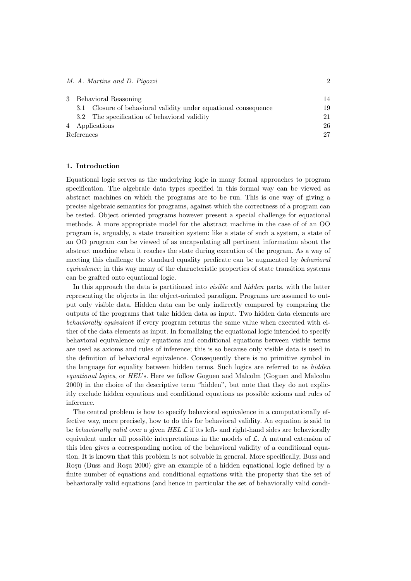# M. A. Martins and D. Pigozzi 2

|            |     | 3 Behavioral Reasoning                                      | 14 |
|------------|-----|-------------------------------------------------------------|----|
|            | 3.1 | Closure of behavioral validity under equational consequence | 19 |
|            |     | 3.2 The specification of behavioral validity                | 21 |
|            |     | 4 Applications                                              | 26 |
| References |     |                                                             | 27 |

#### 1. Introduction

Equational logic serves as the underlying logic in many formal approaches to program specification. The algebraic data types specified in this formal way can be viewed as abstract machines on which the programs are to be run. This is one way of giving a precise algebraic semantics for programs, against which the correctness of a program can be tested. Object oriented programs however present a special challenge for equational methods. A more appropriate model for the abstract machine in the case of of an OO program is, arguably, a state transition system: like a state of such a system, a state of an OO program can be viewed of as encapsulating all pertinent information about the abstract machine when it reaches the state during execution of the program. As a way of meeting this challenge the standard equality predicate can be augmented by behavioral equivalence; in this way many of the characteristic properties of state transition systems can be grafted onto equational logic.

In this approach the data is partitioned into visible and hidden parts, with the latter representing the objects in the object-oriented paradigm. Programs are assumed to output only visible data. Hidden data can be only indirectly compared by comparing the outputs of the programs that take hidden data as input. Two hidden data elements are behaviorally equivalent if every program returns the same value when executed with either of the data elements as input. In formalizing the equational logic intended to specify behavioral equivalence only equations and conditional equations between visible terms are used as axioms and rules of inference; this is so because only visible data is used in the definition of behavioral equivalence. Consequently there is no primitive symbol in the language for equality between hidden terms. Such logics are referred to as hidden equational logics, or HEL's. Here we follow Goguen and Malcolm (Goguen and Malcolm 2000) in the choice of the descriptive term "hidden", but note that they do not explicitly exclude hidden equations and conditional equations as possible axioms and rules of inference.

The central problem is how to specify behavioral equivalence in a computationally effective way, more precisely, how to do this for behavioral validity. An equation is said to be behaviorally valid over a given HEL  $\mathcal L$  if its left- and right-hand sides are behaviorally equivalent under all possible interpretations in the models of  $\mathcal{L}$ . A natural extension of this idea gives a corresponding notion of the behavioral validity of a conditional equation. It is known that this problem is not solvable in general. More specifically, Buss and Roşu (Buss and Roşu 2000) give an example of a hidden equational logic defined by a finite number of equations and conditional equations with the property that the set of behaviorally valid equations (and hence in particular the set of behaviorally valid condi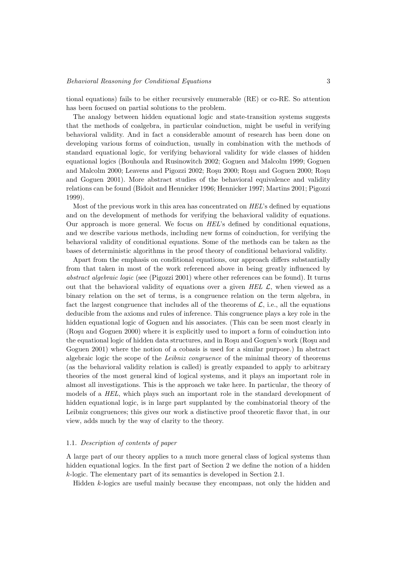tional equations) fails to be either recursively enumerable (RE) or co-RE. So attention has been focused on partial solutions to the problem.

The analogy between hidden equational logic and state-transition systems suggests that the methods of coalgebra, in particular coinduction, might be useful in verifying behavioral validity. And in fact a considerable amount of research has been done on developing various forms of coinduction, usually in combination with the methods of standard equational logic, for verifying behavioral validity for wide classes of hidden equational logics (Bouhoula and Rusinowitch 2002; Goguen and Malcolm 1999; Goguen and Malcolm 2000; Leavens and Pigozzi 2002; Rosu 2000; Rosu and Goguen 2000; Rosu and Goguen 2001). More abstract studies of the behavioral equivalence and validity relations can be found (Bidoit and Hennicker 1996; Hennicker 1997; Martins 2001; Pigozzi 1999).

Most of the previous work in this area has concentrated on HEL's defined by equations and on the development of methods for verifying the behavioral validity of equations. Our approach is more general. We focus on HEL's defined by conditional equations, and we describe various methods, including new forms of coinduction, for verifying the behavioral validity of conditional equations. Some of the methods can be taken as the bases of deterministic algorithms in the proof theory of conditional behavioral validity.

Apart from the emphasis on conditional equations, our approach differs substantially from that taken in most of the work referenced above in being greatly influenced by abstract algebraic logic (see (Pigozzi 2001) where other references can be found). It turns out that the behavioral validity of equations over a given HEL  $\mathcal{L}$ , when viewed as a binary relation on the set of terms, is a congruence relation on the term algebra, in fact the largest congruence that includes all of the theorems of  $\mathcal{L}$ , i.e., all the equations deducible from the axioms and rules of inference. This congruence plays a key role in the hidden equational logic of Goguen and his associates. (This can be seen most clearly in (Rosu and Goguen 2000) where it is explicitly used to import a form of coinduction into the equational logic of hidden data structures, and in Rosu and Goguen's work (Rosu and Goguen 2001) where the notion of a cobasis is used for a similar purpose.) In abstract algebraic logic the scope of the Leibniz congruence of the minimal theory of theorems (as the behavioral validity relation is called) is greatly expanded to apply to arbitrary theories of the most general kind of logical systems, and it plays an important role in almost all investigations. This is the approach we take here. In particular, the theory of models of a HEL, which plays such an important role in the standard development of hidden equational logic, is in large part supplanted by the combinatorial theory of the Leibniz congruences; this gives our work a distinctive proof theoretic flavor that, in our view, adds much by the way of clarity to the theory.

## 1.1. Description of contents of paper

A large part of our theory applies to a much more general class of logical systems than hidden equational logics. In the first part of Section 2 we define the notion of a hidden k-logic. The elementary part of its semantics is developed in Section 2.1.

Hidden k-logics are useful mainly because they encompass, not only the hidden and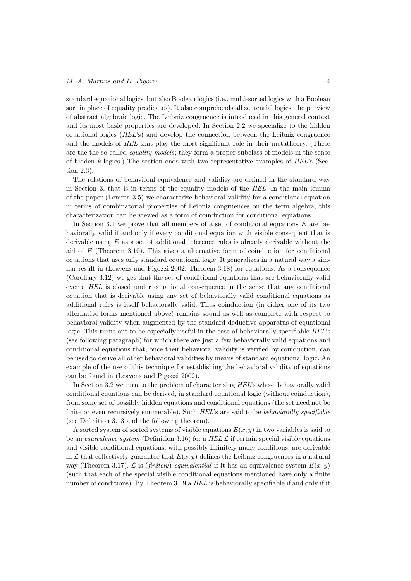standard equational logics, but also Boolean logics (i.e., multi-sorted logics with a Boolean sort in place of equality predicates). It also comprehends all sentential logics, the purview of abstract algebraic logic. The Leibniz congruence is introduced in this general context and its most basic properties are developed. In Section 2.2 we specialize to the hidden equational logics (HEL's) and develop the connection between the Leibniz congruence and the models of HEL that play the most significant role in their metatheory. (These are the the so-called equality models; they form a proper subclass of models in the sense of hidden  $k$ -logics.) The section ends with two representative examples of  $HEL$ 's (Section 2.3).

The relations of behavioral equivalence and validity are defined in the standard way in Section 3, that is in terms of the equality models of the HEL. In the main lemma of the paper (Lemma 3.5) we characterize behavioral validity for a conditional equation in terms of combinatorial properties of Leibniz congruences on the term algebra; this characterization can be viewed as a form of coinduction for conditional equations.

In Section 3.1 we prove that all members of a set of conditional equations  $E$  are behaviorally valid if and only if every conditional equation with visible consequent that is derivable using  $E$  as a set of additional inference rules is already derivable without the aid of  $E$  (Theorem 3.10). This gives a alternative form of coinduction for conditional equations that uses only standard equational logic. It generalizes in a natural way a similar result in (Leavens and Pigozzi 2002, Theorem 3.18) for equations. As a consequence (Corollary 3.12) we get that the set of conditional equations that are behaviorally valid over a HEL is closed under equational consequence in the sense that any conditional equation that is derivable using any set of behaviorally valid conditional equations as additional rules is itself behaviorally valid. Thus coinduction (in either one of its two alternative forms mentioned above) remains sound as well as complete with respect to behavioral validity when augmented by the standard deductive apparatus of equational logic. This turns out to be especially useful in the case of behaviorally specifiable HEL's (see following paragraph) for which there are just a few behaviorally valid equations and conditional equations that, once their behavioral validity is verified by coinduction, can be used to derive all other behavioral validities by means of standard equational logic. An example of the use of this technique for establishing the behavioral validity of equations can be found in (Leavens and Pigozzi 2002).

In Section 3.2 we turn to the problem of characterizing HEL's whose behaviorally valid conditional equations can be derived, in standard equational logic (without coinduction), from some set of possibly hidden equations and conditional equations (the set need not be finite or even recursively enumerable). Such HEL's are said to be behaviorally specifiable (see Definition 3.13 and the following theorem).

A sorted system of sorted systems of visible equations  $E(x, y)$  in two variables is said to be an *equivalence system* (Definition 3.16) for a HEL  $\mathcal L$  if certain special visible equations and visible conditional equations, with possibly infinitely many conditions, are derivable in L that collectively guarantee that  $E(x, y)$  defines the Leibniz congruences in a natural way (Theorem 3.17).  $\mathcal L$  is (finitely) equivalential if it has an equivalence system  $E(x, y)$ (such that each of the special visible conditional equations mentioned have only a finite number of conditions). By Theorem 3.19 a HEL is behaviorally specifiable if and only if it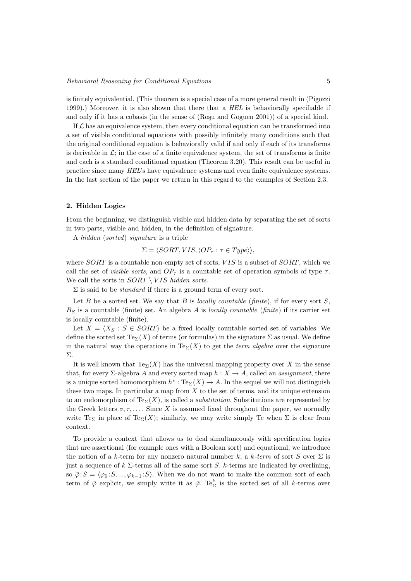is finitely equivalential. (This theorem is a special case of a more general result in (Pigozzi 1999).) Moreover, it is also shown that there that a HEL is behaviorally specifiable if and only if it has a cobasis (in the sense of (Roşu and Goguen 2001)) of a special kind.

If  $\mathcal L$  has an equivalence system, then every conditional equation can be transformed into a set of visible conditional equations with possibly infinitely many conditions such that the original conditional equation is behaviorally valid if and only if each of its transforms is derivable in  $\mathcal{L}$ ; in the case of a finite equivalence system, the set of transforms is finite and each is a standard conditional equation (Theorem 3.20). This result can be useful in practice since many HEL's have equivalence systems and even finite equivalence systems. In the last section of the paper we return in this regard to the examples of Section 2.3.

## 2. Hidden Logics

From the beginning, we distinguish visible and hidden data by separating the set of sorts in two parts, visible and hidden, in the definition of signature.

A hidden (sorted) signature is a triple

$$
\Sigma = \langle SORT, VIS, \langle OP_{\tau} : \tau \in Type \rangle \rangle,
$$

where  $SORT$  is a countable non-empty set of sorts,  $VIS$  is a subset of  $SORT$ , which we call the set of *visible sorts*, and  $OP_\tau$  is a countable set of operation symbols of type  $\tau$ . We call the sorts in  $SORT \setminus VIS$  hidden sorts.

 $\Sigma$  is said to be *standard* if there is a ground term of every sort.

Let B be a sorted set. We say that B is locally countable (finite), if for every sort  $S$ ,  $B<sub>S</sub>$  is a countable (finite) set. An algebra A is locally countable (finite) if its carrier set is locally countable (finite).

Let  $X = \langle X_S : S \in \mathit{SORT} \rangle$  be a fixed locally countable sorted set of variables. We define the sorted set  $T_{\text{ex}}(X)$  of terms (or formulas) in the signature  $\Sigma$  as usual. We define in the natural way the operations in Te<sub> $\Sigma$ </sub>(X) to get the term algebra over the signature Σ.

It is well known that  $\text{Te}_{\Sigma}(X)$  has the universal mapping property over X in the sense that, for every  $\Sigma$ -algebra A and every sorted map  $h : X \to A$ , called an *assignment*, there is a unique sorted homomorphism  $h^* : \text{Te}_{\Sigma}(X) \to A$ . In the sequel we will not distinguish these two maps. In particular a map from  $X$  to the set of terms, and its unique extension to an endomorphism of  $Te_{\Sigma}(X)$ , is called a *substitution*. Substitutions are represented by the Greek letters  $\sigma, \tau, \ldots$  Since X is assumed fixed throughout the paper, we normally write Te<sub>Σ</sub> in place of Te<sub>Σ</sub>(X); similarly, we may write simply Te when  $\Sigma$  is clear from context.

To provide a context that allows us to deal simultaneously with specification logics that are assertional (for example ones with a Boolean sort) and equational, we introduce the notion of a k-term for any nonzero natural number k; a k-term of sort S over  $\Sigma$  is just a sequence of  $k \Sigma$ -terms all of the same sort S. k-terms are indicated by overlining, so  $\overline{\varphi}$ :  $S = \langle \varphi_0 : S, ..., \varphi_{k-1} : S \rangle$ . When we do not want to make the common sort of each term of  $\bar{\varphi}$  explicit, we simply write it as  $\bar{\varphi}$ . Te<sup>k</sup><sub>2</sub> is the sorted set of all k-terms over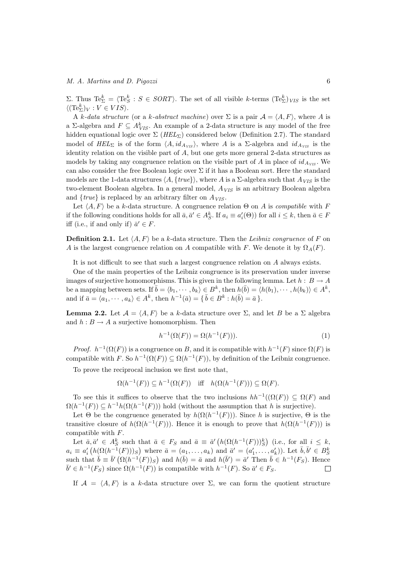# M. A. Martins and D. Pigozzi 6

Σ. Thus Te<sup>k</sup><sub>Σ</sub> =  $\langle Te_{S}^k : S \in \text{SORT} \rangle$ . The set of all visible k-terms  $(Te_{Σ}^k)_{VIS}$  is the set  $\langle (\text{Te}_{\Sigma}^k)_V : V \in VIS \rangle.$ 

A k-data structure (or a k-abstract machine) over  $\Sigma$  is a pair  $\mathcal{A} = \langle A, F \rangle$ , where A is a  $\Sigma$ -algebra and  $F \subseteq A_{VIS}^k$ . An example of a 2-data structure is any model of the free hidden equational logic over  $\Sigma$  ( $HEL_{\Sigma}$ ) considered below (Definition 2.7). The standard model of HEL<sub>Σ</sub> is of the form  $\langle A, id_{A_{VIS}}\rangle$ , where A is a Σ-algebra and  $id_{A_{VIS}}$  is the identity relation on the visible part of  $A$ , but one gets more general 2-data structures as models by taking any congruence relation on the visible part of A in place of  $id_{A_{VIS}}$ . We can also consider the free Boolean logic over  $\Sigma$  if it has a Boolean sort. Here the standard models are the 1-data structures  $\langle A, \{true\}\rangle$ , where A is a  $\Sigma$ -algebra such that  $A_{VIS}$  is the two-element Boolean algebra. In a general model,  $A_{VIS}$  is an arbitrary Boolean algebra and  $\{true\}$  is replaced by an arbitrary filter on  $A_{VIS}$ .

Let  $\langle A, F \rangle$  be a k-data structure. A congruence relation  $\Theta$  on A is compatible with F if the following conditions holds for all  $\bar{a}, \bar{a}' \in A_S^k$ . If  $a_i \equiv a'_i(\Theta)$  for all  $i \leq k$ , then  $\bar{a} \in F$ iff (i.e., if and only if)  $\bar{a}' \in F$ .

**Definition 2.1.** Let  $\langle A, F \rangle$  be a k-data structure. Then the Leibniz congruence of F on A is the largest congruence relation on A compatible with F. We denote it by  $\Omega_A(F)$ .

It is not difficult to see that such a largest congruence relation on A always exists.

One of the main properties of the Leibniz congruence is its preservation under inverse images of surjective homomorphisms. This is given in the following lemma. Let  $h : B \to A$ be a mapping between sets. If  $\bar{b} = \langle b_1, \dots, b_k \rangle \in B^k$ , then  $h(\bar{b}) = \langle h(b_1), \dots, h(b_k) \rangle \in A^k$ , and if  $\bar{a} = \langle a_1, \dots, a_k \rangle \in A^k$ , then  $h^{-1}(\bar{a}) = \{ \bar{b} \in B^k : h(\bar{b}) = \bar{a} \}.$ 

**Lemma 2.2.** Let  $\mathcal{A} = \langle A, F \rangle$  be a k-data structure over  $\Sigma$ , and let B be a  $\Sigma$  algebra and  $h : B \to A$  a surjective homomorphism. Then

$$
h^{-1}(\Omega(F)) = \Omega(h^{-1}(F))).
$$
\n(1)

*Proof.*  $h^{-1}(\Omega(F))$  is a congruence on B, and it is compatible with  $h^{-1}(F)$  since  $\Omega(F)$  is compatible with F. So  $h^{-1}(\Omega(F)) \subseteq \Omega(h^{-1}(F))$ , by definition of the Leibniz congruence.

To prove the reciprocal inclusion we first note that,

$$
\Omega(h^{-1}(F)) \subseteq h^{-1}(\Omega(F)) \quad \text{iff} \quad h(\Omega(h^{-1}(F))) \subseteq \Omega(F).
$$

To see this it suffices to observe that the two inclusions  $hh^{-1}((\Omega(F)) \subseteq \Omega(F)$  and  $\Omega(h^{-1}(F)) \subseteq h^{-1}h(\Omega(h^{-1}(F)))$  hold (without the assumption that h is surjective).

Let  $\Theta$  be the congruence generated by  $h(\Omega(h^{-1}(F)))$ . Since h is surjective,  $\Theta$  is the transitive closure of  $h(\Omega(h^{-1}(F)))$ . Hence it is enough to prove that  $h(\Omega(h^{-1}(F)))$  is compatible with F.

Let  $\bar{a}, \bar{a}' \in A_S^k$  such that  $\bar{a} \in F_S$  and  $\bar{a} \equiv \bar{a}'(h(\Omega(h^{-1}(F)))_S^k)$  (i.e., for all  $i \leq k$ ,  $a_i \equiv a'_i \left( h(\Omega(h^{-1}(F)))_S \right)$  where  $\bar{a} = (a_1, \ldots, a_k)$  and  $\bar{a}' = (a'_1, \ldots, a'_k)$ ). Let  $\bar{b}, \bar{b}' \in B_S^k$ <br>such that  $\bar{b} \equiv \bar{b}' \left( \Omega(h^{-1}(F))_S \right)$  and  $h(\bar{b}) = \bar{a}$  and  $h(\bar{b}') = \bar{a}'$  Then  $\bar{b} \in h^{-1}(F_S)$ . Hence  $\bar{b}' \in h^{-1}(F_S)$  since  $\Omega(h^{-1}(F))$  is compatible with  $h^{-1}(F)$ . So  $\bar{a}' \in F_S$ .  $\Box$ 

If  $A = \langle A, F \rangle$  is a k-data structure over  $\Sigma$ , we can form the quotient structure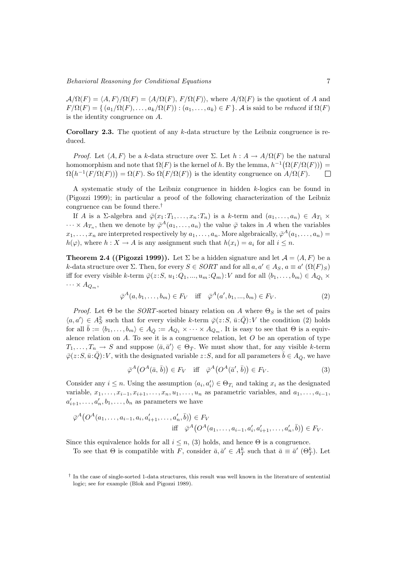$\mathcal{A}/\Omega(F) = \langle A, F \rangle / \Omega(F) = \langle A/\Omega(F), F/\Omega(F) \rangle$ , where  $A/\Omega(F)$  is the quotient of A and  $F/\Omega(F) = \{ (a_1/\Omega(F), \ldots, a_k/\Omega(F)) : (a_1, \ldots, a_k) \in F \}$ . A is said to be reduced if  $\Omega(F)$ is the identity congruence on A.

**Corollary 2.3.** The quotient of any  $k$ -data structure by the Leibniz congruence is reduced.

*Proof.* Let  $\langle A, F \rangle$  be a k-data structure over  $\Sigma$ . Let  $h : A \to A/\Omega(F)$  be the natural homomorphism and note that  $\Omega(F)$  is the kernel of h. By the lemma,  $h^{-1}(\Omega(F/\Omega(F)))$  =  $\Omega(h^{-1}(F/\Omega(F))) = \Omega(F)$ . So  $\Omega(F/\Omega(F))$  is the identity congruence on  $A/\Omega(F)$ .  $\Box$ 

A systematic study of the Leibniz congruence in hidden k-logics can be found in (Pigozzi 1999); in particular a proof of the following characterization of the Leibniz congruence can be found there.†

If A is a  $\Sigma$ -algebra and  $\overline{\varphi}(x_1 : T_1, \ldots, x_n : T_n)$  is a k-term and  $(a_1, \ldots, a_n) \in A_{T_1} \times$  $\cdots \times A_{T_n}$ , then we denote by  $\bar{\varphi}^A(a_1,\ldots,a_n)$  the value  $\bar{\varphi}$  takes in A when the variables  $x_1, \ldots, x_n$  are interpreted respectively by  $a_1, \ldots, a_n$ . More algebraically,  $\bar{\varphi}^A(a_1, \ldots, a_n)$  $h(\varphi)$ , where  $h: X \to A$  is any assignment such that  $h(x_i) = a_i$  for all  $i \leq n$ .

**Theorem 2.4 ((Pigozzi 1999)).** Let  $\Sigma$  be a hidden signature and let  $\mathcal{A} = \langle A, F \rangle$  be a k-data structure over  $\Sigma$ . Then, for every  $S \in \mathcal{SORT}$  and for all  $a, a' \in A_S$ ,  $a \equiv a'$   $(\Omega(F)_S)$ iff for every visible k-term  $\overline{\varphi}(z : S, u_1 : Q_1, ..., u_m : Q_m) : V$  and for all  $\langle b_1, ..., b_m \rangle \in A_{Q_1} \times$  $\cdots \times A_{Q_m},$ 

$$
\bar{\varphi}^A(a, b_1, \dots, b_m) \in F_V \quad \text{iff} \quad \bar{\varphi}^A(a', b_1, \dots, b_m) \in F_V. \tag{2}
$$

*Proof.* Let  $\Theta$  be the *SORT*-sorted binary relation on A where  $\Theta_S$  is the set of pairs  $\langle a, a' \rangle \in A_S^2$  such that for every visible k-term  $\overline{\varphi}(z:S, \overline{u}:\overline{Q})$ : V the condition (2) holds for all  $\bar{b} := \langle b_1, \ldots, b_m \rangle \in A_{\bar{Q}} := A_{Q_1} \times \cdots \times A_{Q_m}$ . It is easy to see that  $\Theta$  is a equivalence relation on A. To see it is a congruence relation, let  $O$  be an operation of type  $T_1, \ldots, T_n \to S$  and suppose  $\langle \bar{a}, \bar{a}' \rangle \in \Theta_{\bar{T}}$ . We must show that, for any visible k-term  $\overline{\varphi}(z : S, \overline{u} : \overline{Q}) : V$ , with the designated variable  $z : S$ , and for all parameters  $\overline{b} \in A_{\overline{Q}}$ , we have

$$
\bar{\varphi}^A\big(O^A(\bar{a}, \bar{b})\big) \in F_V \quad \text{iff} \quad \bar{\varphi}^A\big(O^A(\bar{a}', \bar{b})\big) \in F_V. \tag{3}
$$

Consider any  $i \leq n$ . Using the assumption  $\langle a_i, a'_i \rangle \in \Theta_{T_i}$  and taking  $x_i$  as the designated variable,  $x_1, \ldots, x_{i-1}, x_{i+1}, \ldots, x_n, u_1, \ldots, u_n$  as parametric variables, and  $a_1, \ldots, a_{i-1}$ ,  $a'_{i+1}, \ldots, a'_n, b_1, \ldots, b_n$  as parameters we have

$$
\bar{\varphi}^{A}(O^{A}(a_{1},...,a_{i-1},a_{i},a'_{i+1},...,a'_{n},\bar{b})) \in F_{V}
$$
  
iff 
$$
\bar{\varphi}^{A}(O^{A}(a_{1},...,a_{i-1},a'_{i},a'_{i+1},...,a'_{n},\bar{b})) \in F_{V}.
$$

Since this equivalence holds for all  $i \leq n$ , (3) holds, and hence  $\Theta$  is a congruence.

To see that  $\Theta$  is compatible with F, consider  $\bar{a}, \bar{a}' \in A_T^k$  such that  $\bar{a} \equiv \bar{a}'$  ( $\Theta_T^k$ ). Let

<sup>†</sup> In the case of single-sorted 1-data structures, this result was well known in the literature of sentential logic; see for example (Blok and Pigozzi 1989).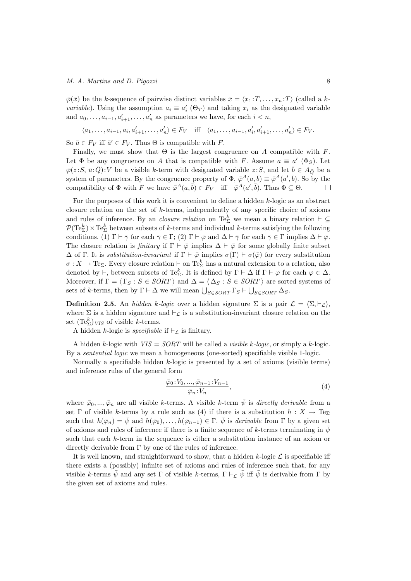## M. A. Martins and D. Pigozzi 8

 $\overline{\varphi}(\overline{x})$  be the k-sequence of pairwise distinct variables  $\overline{x} = \langle x_1 : T, \ldots, x_n : T \rangle$  (called a k*variable*). Using the assumption  $a_i \equiv a'_i$  ( $\Theta_T$ ) and taking  $x_i$  as the designated variable and  $a_0, \ldots, a_{i-1}, a'_{i+1}, \ldots, a'_n$  as parameters we have, for each  $i < n$ ,

$$
\langle a_1, \ldots, a_{i-1}, a_i, a'_{i+1}, \ldots, a'_n \rangle \in F_V \quad \text{iff} \quad \langle a_1, \ldots, a_{i-1}, a'_i, a'_{i+1}, \ldots, a'_n \rangle \in F_V.
$$

So  $\bar{a} \in F_V$  iff  $\bar{a}' \in F_V$ . Thus  $\Theta$  is compatible with F.

Finally, we must show that  $\Theta$  is the largest congruence on A compatible with F. Let  $\Phi$  be any congruence on A that is compatible with F. Assume  $a \equiv a'$  ( $\Phi_S$ ). Let  $\overline{\varphi}(z : S, \overline{u} : \overline{Q}) : V$  be a visible k-term with designated variable  $z : S$ , and let  $\overline{b} \in A_{\overline{Q}}$  be a system of parameters. By the congruence property of  $\Phi$ ,  $\bar{\varphi}^A(a,\bar{b}) \equiv \bar{\varphi}^A(a',\bar{b})$ . So by the compatibility of  $\Phi$  with F we have  $\overline{\varphi}^A(a, \overline{b}) \in F_V$  iff  $\overline{\varphi}^A(a', \overline{b})$ . Thus  $\Phi \subseteq \Theta$ .

For the purposes of this work it is convenient to define a hidden k-logic as an abstract closure relation on the set of k-terms, independently of any specific choice of axioms and rules of inference. By an *closure relation* on  $Te_{\Sigma}^k$  we mean a binary relation  $\vdash \subseteq$  $\mathcal{P}(\text{Te}_{\Sigma}^k) \times \text{Te}_{\Sigma}^k$  between subsets of k-terms and individual k-terms satisfying the following conditions. (1)  $\Gamma \vdash \bar{\gamma}$  for each  $\bar{\gamma} \in \Gamma$ ; (2)  $\Gamma \vdash \bar{\varphi}$  and  $\Delta \vdash \bar{\gamma}$  for each  $\bar{\gamma} \in \Gamma$  implies  $\Delta \vdash \bar{\varphi}$ . The closure relation is finitary if  $\Gamma \vdash \bar{\varphi}$  implies  $\Delta \vdash \bar{\varphi}$  for some globally finite subset  $\Delta$  of Γ. It is *substitution-invariant* if  $\Gamma \vdash \bar{\varphi}$  implies  $\sigma(\Gamma) \vdash \sigma(\bar{\varphi})$  for every substitution  $\sigma: X \to \text{Te}_{\Sigma}$ . Every closure relation  $\vdash$  on  $\text{Te}_{\Sigma}^k$  has a natural extension to a relation, also denoted by  $\vdash$ , between subsets of Te<sup>k</sup><sub>2</sub>. It is defined by  $\Gamma \vdash \Delta$  if  $\Gamma \vdash \varphi$  for each  $\varphi \in \Delta$ . Moreover, if  $\Gamma = \langle \Gamma_S : S \in \text{SORT} \rangle$  and  $\Delta = \langle \Delta_S : S \in \text{SORT} \rangle$  are sorted systems of sets of k-terms, then by  $\Gamma \vdash \Delta$  we will mean  $\bigcup_{S \in \text{SORT}} \Gamma_S \vdash \bigcup_{S \in \text{SORT}} \Delta_S$ .

**Definition 2.5.** An hidden k-logic over a hidden signature  $\Sigma$  is a pair  $\mathcal{L} = \langle \Sigma, \vdash_{\mathcal{L}} \rangle$ , where  $\Sigma$  is a hidden signature and  $\vdash_{\mathcal{L}}$  is a substitution-invariant closure relation on the set  $(\text{Te}_{\Sigma}^{k})_{VIS}$  of visible k-terms.

A hidden k-logic is *specifiable* if  $\vdash_{\mathcal{L}}$  is finitary.

A hidden k-logic with  $VIS = SORT$  will be called a *visible k-logic*, or simply a k-logic. By a sentential logic we mean a homogeneous (one-sorted) specifiable visible 1-logic.

Normally a specifiable hidden k-logic is presented by a set of axioms (visible terms) and inference rules of the general form

$$
\frac{\overline{\varphi}_0:V_0,\ldots,\overline{\varphi}_{n-1}:V_{n-1}}{\overline{\varphi}_n:V_n},\tag{4}
$$

where  $\bar{\varphi}_0, ..., \bar{\varphi}_n$  are all visible k-terms. A visible k-term  $\bar{\psi}$  is *directly derivable* from a set  $\Gamma$  of visible k-terms by a rule such as (4) if there is a substitution  $h: X \to \text{Te}_{\Sigma}$ such that  $h(\bar{\varphi}_n) = \bar{\psi}$  and  $h(\bar{\varphi}_0), \ldots, h(\bar{\varphi}_{n-1}) \in \Gamma$ .  $\bar{\psi}$  is derivable from  $\Gamma$  by a given set of axioms and rules of inference if there is a finite sequence of k-terms terminating in  $\bar{\psi}$ such that each k-term in the sequence is either a substitution instance of an axiom or directly derivable from  $\Gamma$  by one of the rules of inference.

It is well known, and straightforward to show, that a hidden  $k$ -logic  $\mathcal L$  is specifiable iff there exists a (possibly) infinite set of axioms and rules of inference such that, for any visible k-terms  $\bar{\psi}$  and any set Γ of visible k-terms,  $\Gamma \vdash_{\mathcal{C}} \bar{\psi}$  iff  $\bar{\psi}$  is derivable from Γ by the given set of axioms and rules.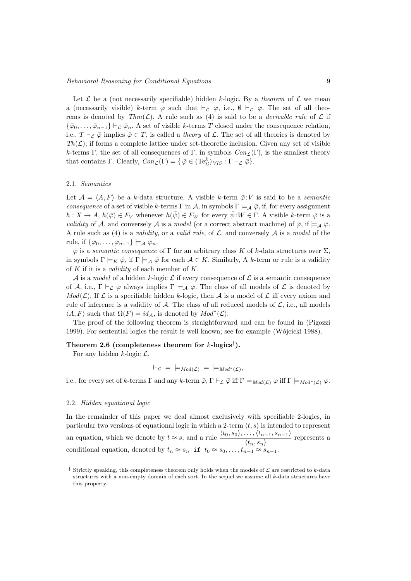Let  $\mathcal L$  be a (not necessarily specifiable) hidden k-logic. By a theorem of  $\mathcal L$  we mean a (necessarily visible) k-term  $\bar{\varphi}$  such that  $\vdash_{\mathcal{L}} \bar{\varphi}$ , i.e.,  $\emptyset \vdash_{\mathcal{L}} \bar{\varphi}$ . The set of all theorems is denoted by  $Thm(\mathcal{L})$ . A rule such as (4) is said to be a *derivable rule* of  $\mathcal{L}$  if  ${\{\bar{\varphi}_0,\ldots,\bar{\varphi}_{n-1}\}}\vdash_{\mathcal{L}}\bar{\varphi}_n$ . A set of visible k-terms T closed under the consequence relation, i.e.,  $T \vdash_{\mathcal{L}} \bar{\varphi}$  implies  $\bar{\varphi} \in T$ , is called a theory of  $\mathcal{L}$ . The set of all theories is denoted by  $Th(\mathcal{L})$ ; if forms a complete lattice under set-theoretic inclusion. Given any set of visible k-terms Γ, the set of all consequences of Γ, in symbols  $Con<sub>L</sub>(Γ)$ , is the smallest theory that contains  $\Gamma$ . Clearly,  $Con_{\mathcal{L}}(\Gamma) = \{ \bar{\varphi} \in (\text{Te}_{\Sigma}^k)_{VIS} : \Gamma \vdash_{\mathcal{L}} \bar{\varphi} \}.$ 

## 2.1. Semantics

Let  $\mathcal{A} = \langle A, F \rangle$  be a k-data structure. A visible k-term  $\overline{\varphi}: V$  is said to be a semantic consequence of a set of visible k-terms Γ in A, in symbols  $\Gamma \models_A \overline{\varphi}$ , if, for every assignment  $h: X \to A, h(\bar{\varphi}) \in F_V$  whenever  $h(\bar{\psi}) \in F_W$  for every  $\bar{\psi}: W \in \Gamma$ . A visible k-term  $\bar{\varphi}$  is a *validity* of A, and conversely A is a *model* (or a correct abstract machine) of  $\overline{\varphi}$ , if  $\models_{\mathcal{A}} \overline{\varphi}$ . A rule such as (4) is a validity, or a valid rule, of  $\mathcal L$ , and conversely  $\mathcal A$  is a model of the rule, if  $\{\bar{\varphi}_0,\ldots,\bar{\varphi}_{n-1}\}\models_{\mathcal{A}} \bar{\varphi}_n$ .

 $\overline{\varphi}$  is a semantic consequence of  $\Gamma$  for an arbitrary class K of k-data structures over  $\Sigma$ , in symbols  $\Gamma \models_K \bar{\varphi}$ , if  $\Gamma \models_A \bar{\varphi}$  for each  $A \in K$ . Similarly, A k-term or rule is a validity of  $K$  if it is a *validity* of each member of  $K$ .

A is a model of a hidden k-logic L if every consequence of L is a semantic consequence of A, i.e.,  $\Gamma \vdash_{\mathcal{L}} \bar{\varphi}$  always implies  $\Gamma \models_{\mathcal{A}} \bar{\varphi}$ . The class of all models of  $\mathcal{L}$  is denoted by  $Mod(\mathcal{L})$ . If  $\mathcal L$  is a specifiable hidden k-logic, then A is a model of  $\mathcal L$  iff every axiom and rule of inference is a validity of  $A$ . The class of all reduced models of  $\mathcal{L}$ , i.e., all models  $\langle A, F \rangle$  such that  $\Omega(F) = id_A$ , is denoted by  $Mod^*(\mathcal{L})$ .

The proof of the following theorem is straightforward and can be found in (Pigozzi 1999). For sentential logics the result is well known; see for example (Wójcicki 1988).

# Theorem 2.6 (completeness theorem for  $k$ -logics<sup>‡</sup>).

For any hidden k-logic  $\mathcal{L}$ ,

$$
\vdash_{\mathcal{L}} = \models_{Mod(\mathcal{L})} = \models_{Mod^*(\mathcal{L})},
$$

i.e., for every set of k-terms Γ and any k-term  $\overline{\varphi}$ ,  $\Gamma \vdash_{\mathcal{L}} \overline{\varphi}$  iff  $\Gamma \models_{Mod(\mathcal{L})} \varphi$  iff  $\Gamma \models_{Mod^*(\mathcal{L})} \varphi$ .

## 2.2. Hidden equational logic

In the remainder of this paper we deal almost exclusively with specifiable 2-logics, in particular two versions of equational logic in which a 2-term  $\langle t, s \rangle$  is intended to represent an equation, which we denote by  $t \approx s$ , and a rule  $\frac{\langle t_0, s_0 \rangle, \ldots, \langle t_{n-1}, s_{n-1} \rangle}{\langle t_n, s_n \rangle}$  represents a conditional equation, denoted by  $t_n \approx s_n$  if  $t_0 \approx s_0, \ldots, t_{n-1} \approx s_{n-1}$ .

<sup>&</sup>lt;sup>‡</sup> Strictly speaking, this completeness theorem only holds when the models of  $\mathcal L$  are restricted to k-data structures with a non-empty domain of each sort. In the sequel we assume all  $k$ -data structures have this property.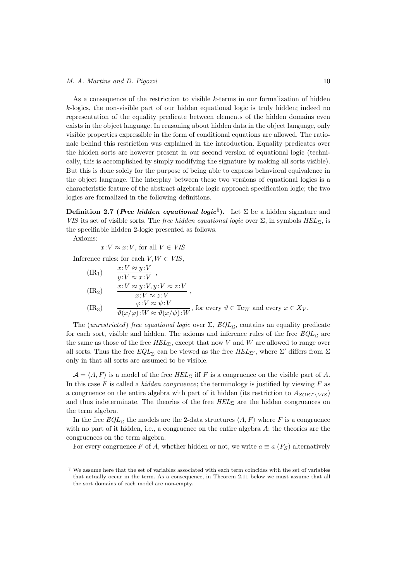As a consequence of the restriction to visible k-terms in our formalization of hidden k-logics, the non-visible part of our hidden equational logic is truly hidden; indeed no representation of the equality predicate between elements of the hidden domains even exists in the object language. In reasoning about hidden data in the object language, only visible properties expressible in the form of conditional equations are allowed. The rationale behind this restriction was explained in the introduction. Equality predicates over the hidden sorts are however present in our second version of equational logic (technically, this is accomplished by simply modifying the signature by making all sorts visible). But this is done solely for the purpose of being able to express behavioral equivalence in the object language. The interplay between these two versions of equational logics is a characteristic feature of the abstract algebraic logic approach specification logic; the two logics are formalized in the following definitions.

Definition 2.7 (*Free hidden equational logic*<sup>§</sup>). Let  $\Sigma$  be a hidden signature and VIS its set of visible sorts. The free hidden equational logic over  $\Sigma$ , in symbols  $HEL_{\Sigma}$ , is the specifiable hidden 2-logic presented as follows.

Axioms:

 $x:V \approx x:V$ , for all  $V \in VIS$ 

Inference rules: for each  $V, W \in VIS$ ,

$$
\begin{aligned}\n(\text{IR}_1) \qquad & \frac{x:V \approx y:V}{y:V \approx x:V}, \\
(\text{IR}_2) \qquad & \frac{x:V \approx y:V, y:V \approx z:V}{x:V \approx z:V}, \\
(\text{IR}_3) \qquad & \frac{\varphi:V \approx \psi:V}{\vartheta(x/\varphi):W \approx \vartheta(x/\psi):W}, \text{ for every } \vartheta \in \text{TeV and every } x \in X_V.\n\end{aligned}
$$

The (unrestricted) free equational logic over  $\Sigma$ ,  $EQL_{\Sigma}$ , contains an equality predicate for each sort, visible and hidden. The axioms and inference rules of the free  $EQL<sub>S</sub>$  are the same as those of the free  $HEL_{\Sigma}$ , except that now V and W are allowed to range over all sorts. Thus the free  $EQL_{\Sigma}$  can be viewed as the free  $HEL_{\Sigma'}$ , where  $\Sigma'$  differs from  $\Sigma$ only in that all sorts are assumed to be visible.

 $\mathcal{A} = \langle A, F \rangle$  is a model of the free  $HEL_{\Sigma}$  iff F is a congruence on the visible part of A. In this case F is called a *hidden congruence*; the terminology is justified by viewing F as a congruence on the entire algebra with part of it hidden (its restriction to  $A_{SORT} \vee_{VIS}$ ) and thus indeterminate. The theories of the free  $HEL_{\Sigma}$  are the hidden congruences on the term algebra.

In the free  $EQL_{\Sigma}$  the models are the 2-data structures  $\langle A, F \rangle$  where F is a congruence with no part of it hidden, i.e., a congruence on the entire algebra  $A$ ; the theories are the congruences on the term algebra.

For every congruence F of A, whether hidden or not, we write  $a \equiv a(F<sub>S</sub>)$  alternatively

<sup>§</sup> We assume here that the set of variables associated with each term coincides with the set of variables that actually occur in the term. As a consequence, in Theorem 2.11 below we must assume that all the sort domains of each model are non-empty.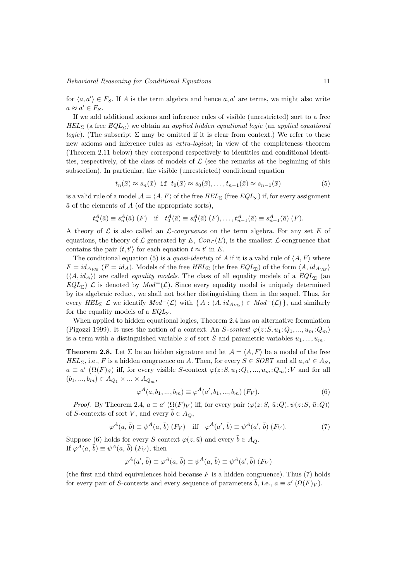## Behavioral Reasoning for Conditional Equations 11

for  $\langle a, a' \rangle \in F_S$ . If A is the term algebra and hence  $a, a'$  are terms, we might also write  $a \approx a' \in F_S$ .

If we add additional axioms and inference rules of visible (unrestricted) sort to a free  $HEL_{\Sigma}$  (a free  $EQL_{\Sigma}$ ) we obtain an applied hidden equational logic (an applied equational *logic*). (The subscript  $\Sigma$  may be omitted if it is clear from context.) We refer to these new axioms and inference rules as extra-logical; in view of the completeness theorem (Theorem 2.11 below) they correspond respectively to identities and conditional identities, respectively, of the class of models of  $\mathcal L$  (see the remarks at the beginning of this subsection). In particular, the visible (unrestricted) conditional equation

$$
t_n(\bar{x}) \approx s_n(\bar{x}) \text{ if } t_0(\bar{x}) \approx s_0(\bar{x}), \dots, t_{n-1}(\bar{x}) \approx s_{n-1}(\bar{x}) \tag{5}
$$

is a valid rule of a model  $\mathcal{A} = \langle A, F \rangle$  of the free  $HEL_{\Sigma}$  (free  $EQL_{\Sigma}$ ) if, for every assignment  $\bar{a}$  of the elements of A (of the appropriate sorts),

$$
t_n^A(\bar{a}) \equiv s_n^A(\bar{a}) \ (F)
$$
 if  $t_0^A(\bar{a}) \equiv s_0^A(\bar{a}) \ (F), \ldots, t_{n-1}^A(\bar{a}) \equiv s_{n-1}^A(\bar{a}) \ (F).$ 

A theory of  $\mathcal L$  is also called an  $\mathcal L$ -congruence on the term algebra. For any set E of equations, the theory of  $\mathcal L$  generated by  $E$ ,  $Con_{\mathcal L}(E)$ , is the smallest  $\mathcal L$ -congruence that contains the pair  $\langle t, t' \rangle$  for each equation  $t \approx t'$  in E.

The conditional equation (5) is a *quasi-identity* of A if it is a valid rule of  $\langle A, F \rangle$  where  $F = id_{A_{VIS}}$   $(F = id_A)$ . Models of the free  $HEL_{\Sigma}$  (the free  $EQL_{\Sigma}$ ) of the form  $\langle A, id_{A_{VIS}} \rangle$  $(\langle A, id_A \rangle)$  are called *equality models*. The class of all equality models of a  $EQL_{\Sigma}$  (and  $EQL_{\Sigma}$ )  $\mathcal{L}$  is denoted by  $Mod^=(\mathcal{L})$ . Since every equality model is uniquely determined by its algebraic reduct, we shall not bother distinguishing them in the sequel. Thus, for every HEL<sub>Σ</sub>  $\mathcal L$  we identify  $Mod^=(\mathcal L)$  with  $\{ A : \langle A, id_{A_{VIS}} \rangle \in Mod^=(\mathcal L) \}$ , and similarly for the equality models of a  $EQL_{\Sigma}$ .

When applied to hidden equational logics, Theorem 2.4 has an alternative formulation (Pigozzi 1999). It uses the notion of a context. An S-context  $\varphi(z;S, u_1;Q_1, ..., u_m;Q_m)$ is a term with a distinguished variable z of sort S and parametric variables  $u_1, ..., u_m$ .

**Theorem 2.8.** Let  $\Sigma$  be an hidden signature and let  $\mathcal{A} = \langle A, F \rangle$  be a model of the free  $HEL_{\Sigma}$ , i.e., F is a hidden congruence on A. Then, for every  $S \in \mathcal{S}ORT$  and all  $a, a' \in A_S$ ,  $a \equiv a'$   $(\Omega(F)_S)$  iff, for every visible S-context  $\varphi(z:S, u_1:Q_1, ..., u_m:Q_m): V$  and for all  $(b_1, ..., b_m) \in A_{Q_1} \times ... \times A_{Q_m},$ 

$$
\varphi^{A}(a, b_1, ..., b_m) \equiv \varphi^{A}(a', b_1, ..., b_m) (F_V).
$$
\n(6)

*Proof.* By Theorem 2.4,  $a \equiv a' (\Omega(F)_V)$  iff, for every pair  $\langle \varphi(z:S, \bar{u}:\bar{Q}), \psi(z:S, \bar{u}:\bar{Q}) \rangle$ of S-contexts of sort V, and every  $\bar{b} \in A_{\bar{O}}$ ,

$$
\varphi^{A}(a,\,\bar{b}) \equiv \psi^{A}(a,\,\bar{b})\,(F_V) \quad \text{iff} \quad \varphi^{A}(a',\,\bar{b}) \equiv \psi^{A}(a',\,\bar{b})\,(F_V). \tag{7}
$$

Suppose (6) holds for every S context  $\varphi(z, \bar{u})$  and every  $\bar{b} \in A_{\bar{O}}$ . If  $\varphi^A(a, \bar{b}) \equiv \psi^A(a, \bar{b})$   $(F_V)$ , then

$$
\varphi^A(a', \bar{b}) \equiv \varphi^A(a, \bar{b}) \equiv \psi^A(a, \bar{b}) \equiv \psi^A(a', \bar{b}) \ (F_V)
$$

(the first and third equivalences hold because  $F$  is a hidden congruence). Thus (7) holds for every pair of S-contexts and every sequence of parameters  $\bar{b}$ , i.e.,  $a \equiv a' (\Omega(F)_V)$ .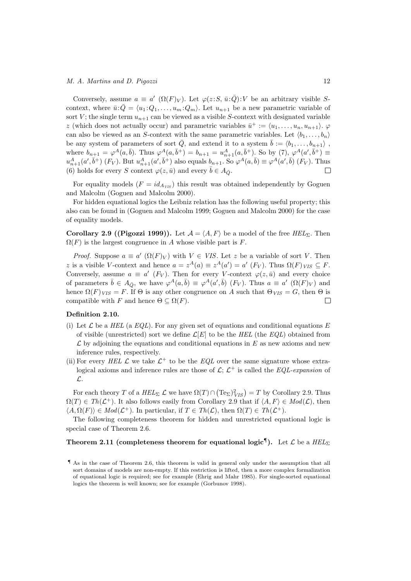Conversely, assume  $a \equiv a'$  ( $\Omega(F)_V$ ). Let  $\varphi(z:S, \bar{u}:\bar{Q})$ : V be an arbitrary visible Scontext, where  $\bar{u} \cdot \bar{Q} = \langle u_1 : Q_1, \ldots, u_m : Q_m \rangle$ . Let  $u_{n+1}$  be a new parametric variable of sort V; the single term  $u_{n+1}$  can be viewed as a visible S-context with designated variable z (which does not actually occur) and parametric variables  $\bar{u}^+ := \langle u_1, \ldots, u_n, u_{n+1} \rangle$ . can also be viewed as an S-context with the same parametric variables. Let  $\langle b_1, \ldots, b_n \rangle$ be any system of parameters of sort  $\overline{Q}$ , and extend it to a system  $\overline{b} := \langle b_1, \ldots, b_{n+1} \rangle$ , where  $b_{n+1} = \varphi^A(a, \bar{b})$ . Thus  $\varphi^A(a, \bar{b}^+) = b_{n+1} = u_{n+1}^A(a, \bar{b}^+)$ . So by (7),  $\varphi^A(a', \bar{b}^+) \equiv$  $u_{n+1}^A(a',\bar{b}^+)$  (F<sub>V</sub>). But  $u_{n+1}^A(a',\bar{b}^+)$  also equals  $b_{n+1}$ . So  $\varphi^A(a,\bar{b}) \equiv \varphi^A(a',\bar{b})$  (F<sub>V</sub>). Thus (6) holds for every S context  $\varphi(z, \bar{u})$  and every  $\bar{b} \in A_{\bar{O}}$ .  $\Box$ 

For equality models  $(F = id_{A_{VIS}})$  this result was obtained independently by Goguen and Malcolm (Goguen and Malcolm 2000).

For hidden equational logics the Leibniz relation has the following useful property; this also can be found in (Goguen and Malcolm 1999; Goguen and Malcolm 2000) for the case of equality models.

**Corollary 2.9 ((Pigozzi 1999)).** Let  $\mathcal{A} = \langle A, F \rangle$  be a model of the free HEL<sub>Σ</sub>. Then  $\Omega(F)$  is the largest congruence in A whose visible part is F.

*Proof.* Suppose  $a \equiv a'$   $(\Omega(F)_V)$  with  $V \in VIS$ . Let z be a variable of sort V. Then z is a visible V-context and hence  $a = z^A(a) \equiv z^A(a') = a' (F_V)$ . Thus  $\Omega(F)_{VIS} \subseteq F$ . Conversely, assume  $a \equiv a'$  ( $F_V$ ). Then for every V-context  $\varphi(z, \bar{u})$  and every choice of parameters  $\bar{b} \in A_{\bar{Q}}$ , we have  $\varphi^A(a, \bar{b}) \equiv \varphi^A(a', \bar{b})$   $(F_V)$ . Thus  $a \equiv a'$   $(\Omega(F)_V)$  and hence  $\Omega(F)_{VIS} = F$ . If  $\Theta$  is any other congruence on A such that  $\Theta_{VIS} = G$ , then  $\Theta$  is compatible with F and hence  $\Theta \subseteq \Omega(F)$ .  $\Box$ 

# Definition 2.10.

- (i) Let  $\mathcal L$  be a HEL (a EQL). For any given set of equations and conditional equations E of visible (unrestricted) sort we define  $\mathcal{L}[E]$  to be the HEL (the EQL) obtained from  $\mathcal L$  by adjoining the equations and conditional equations in  $E$  as new axioms and new inference rules, respectively.
- (ii) For every HEL  $\mathcal L$  we take  $\mathcal L^+$  to be the EQL over the same signature whose extralogical axioms and inference rules are those of  $\mathcal{L}$ ;  $\mathcal{L}^+$  is called the *EQL-expansion* of L.

For each theory T of a  $HEL_{\Sigma} \mathcal{L}$  we have  $\Omega(T) \cap (\text{Te}_{\Sigma})^2_{VIS} = T$  by Corollary 2.9. Thus  $\Omega(T) \in Th(\mathcal{L}^+)$ . It also follows easily from Corollary 2.9 that if  $\langle A, F \rangle \in Mod(\mathcal{L})$ , then  $\langle A, \Omega(F) \rangle \in Mod(\mathcal{L}^+).$  In particular, if  $T \in Th(\mathcal{L})$ , then  $\Omega(T) \in Th(\mathcal{L}^+).$ 

The following completeness theorem for hidden and unrestricted equational logic is special case of Theorem 2.6.

# Theorem 2.11 (completeness theorem for equational logic<sup>¶</sup>). Let  $\mathcal{L}$  be a  $HEL_{\Sigma}$

<sup>¶</sup> As in the case of Theorem 2.6, this theorem is valid in general only under the assumption that all sort domains of models are non-empty. If this restriction is lifted, then a more complex formalization of equational logic is required; see for example (Ehrig and Mahr 1985). For single-sorted equational logics the theorem is well known; see for example (Gorbunov 1998).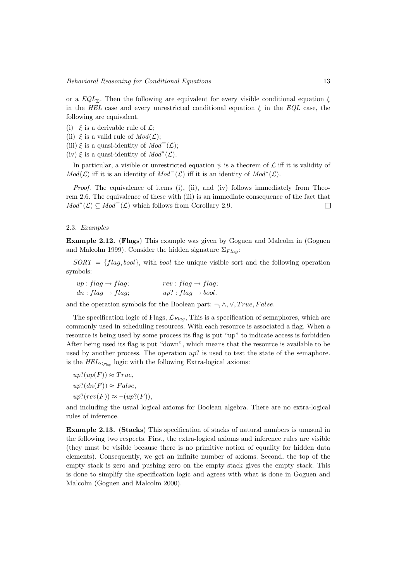or a  $EQL<sub>2</sub>$ . Then the following are equivalent for every visible conditional equation  $\xi$ in the HEL case and every unrestricted conditional equation  $\xi$  in the EQL case, the following are equivalent.

- (i)  $\xi$  is a derivable rule of  $\mathcal{L}$ :
- (ii)  $\xi$  is a valid rule of  $Mod(\mathcal{L})$ ;
- (iii)  $\xi$  is a quasi-identity of  $Mod<sup>=(</sup>L)$ ;
- (iv)  $\xi$  is a quasi-identity of  $Mod^*(\mathcal{L})$ .

In particular, a visible or unrestricted equation  $\psi$  is a theorem of  $\mathcal L$  iff it is validity of  $Mod(\mathcal{L})$  iff it is an identity of  $Mod^=(\mathcal{L})$  iff it is an identity of  $Mod^*(\mathcal{L})$ .

*Proof.* The equivalence of items (i), (ii), and (iv) follows immediately from Theorem 2.6. The equivalence of these with (iii) is an immediate consequence of the fact that  $Mod^*(\mathcal{L}) \subseteq Mod^=(\mathcal{L})$  which follows from Corollary 2.9.  $\Box$ 

## 2.3. Examples

Example 2.12. (Flags) This example was given by Goguen and Malcolm in (Goguen and Malcolm 1999). Consider the hidden signature  $\Sigma_{Flag}$ :

 $SORT = \{flag, bool\}$ , with *bool* the unique visible sort and the following operation symbols:

| $up: flag \rightarrow flag;$  | $rev: flag \rightarrow flag;$  |
|-------------------------------|--------------------------------|
| $dn : flag \rightarrow flag;$ | $up? : flag \rightarrow bool.$ |

and the operation symbols for the Boolean part:  $\neg, \wedge, \vee, True, False.$ 

The specification logic of Flags,  $\mathcal{L}_{Flag}$ , This is a specification of semaphores, which are commonly used in scheduling resources. With each resource is associated a flag. When a resource is being used by some process its flag is put "up" to indicate access is forbidden After being used its flag is put "down", which means that the resource is available to be used by another process. The operation  $up$ ? is used to test the state of the semaphore. is the  $HEL_{\Sigma_{Flaq}}$  logic with the following Extra-logical axioms:

$$
up?(up(F)) \approx True,
$$
  
\n
$$
up?(dn(F)) \approx False,
$$
  
\n
$$
up?(rev(F)) \approx \neg (up?(F)),
$$

and including the usual logical axioms for Boolean algebra. There are no extra-logical rules of inference.

Example 2.13. (Stacks) This specification of stacks of natural numbers is unusual in the following two respects. First, the extra-logical axioms and inference rules are visible (they must be visible because there is no primitive notion of equality for hidden data elements). Consequently, we get an infinite number of axioms. Second, the top of the empty stack is zero and pushing zero on the empty stack gives the empty stack. This is done to simplify the specification logic and agrees with what is done in Goguen and Malcolm (Goguen and Malcolm 2000).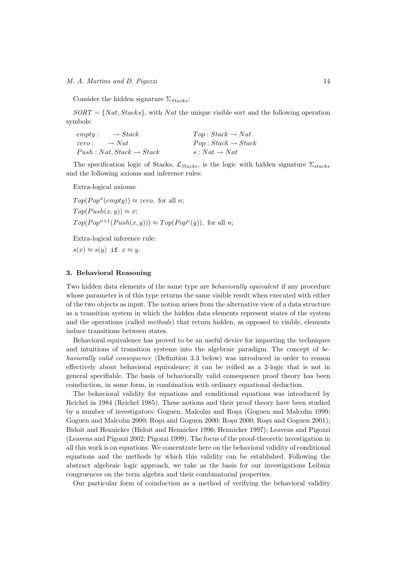## M. A. Martins and D. Pigozzi 14

Consider the hidden signature  $\Sigma_{Stacks}:$ 

 $SORT = \{Nat, Stacks\}$ , with Nat the unique visible sort and the following operation symbols:

| $\rightarrow Stack$<br>empty:         | $Top: Stack \rightarrow Nat$   |
|---------------------------------------|--------------------------------|
| $\rightarrow Nat$<br>zero:            | $Pop: Stack \rightarrow Stack$ |
| $Push : Nat, Stack \rightarrow Stack$ | $s: Nat \rightarrow Nat$       |

The specification logic of Stacks,  $\mathcal{L}_{Stacks}$ , is the logic with hidden signature  $\Sigma_{stacks}$ and the following axioms and inference rules:

Extra-logical axioms:

 $Top(Pop^n(empty)) \approx zero$ , for all *n*;  $Top(Push(x, y)) \approx x;$  $Top(Pop^{n+1}(Push(x, y))) \approx Top(Pop^{n}(y)),$  for all *n*;

Extra-logical inference rule:

 $s(x) \approx s(y)$  if  $x \approx y$ .

## 3. Behavioral Reasoning

Two hidden data elements of the same type are *behaviorally equivalent* if any procedure whose parameter is of this type returns the same visible result when executed with either of the two objects as input. The notion arises from the alternative view of a data structure as a transition system in which the hidden data elements represent states of the system and the operations (called methods) that return hidden, as opposed to visible, elements induce transitions between states.

Behavioral equivalence has proved to be an useful device for importing the techniques and intuitions of transition systems into the algebraic paradigm. The concept of behaviorally valid consequence (Definition 3.3 below) was introduced in order to reason effectively about behavioral equivalence; it can be reified as a 2-logic that is not in general specifiable. The basis of behaviorally valid consequence proof theory has been coinduction, in some form, in combination with ordinary equational deduction.

The behavioral validity for equations and conditional equations was introduced by Reichel in 1984 (Reichel 1985). These notions and their proof theory have been studied by a number of investigators: Goguen, Malcolm and Rosu (Goguen and Malcolm 1999; Goguen and Malcolm 2000; Rosu and Goguen 2000; Rosu 2000; Rosu and Goguen 2001); Bidoit and Hennicker (Bidoit and Hennicker 1996; Hennicker 1997); Leavens and Pigozzi (Leavens and Pigozzi 2002; Pigozzi 1999). The focus of the proof-theoretic investigation in all this work is on equations. We concentrate here on the behavioral validity of conditional equations and the methods by which this validity can be established. Following the abstract algebraic logic approach, we take as the basis for our investigations Leibniz congruences on the term algebra and their combinatorial properties.

Our particular form of coinduction as a method of verifying the behavioral validity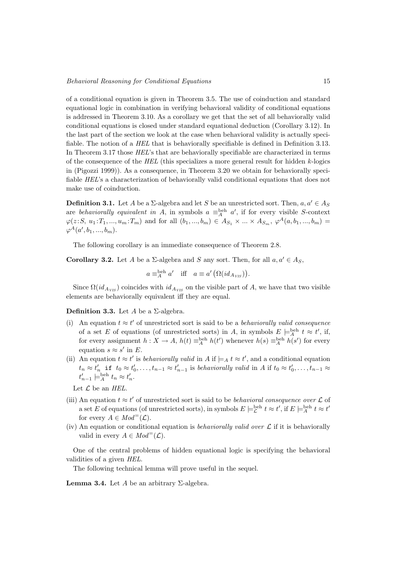of a conditional equation is given in Theorem 3.5. The use of coinduction and standard equational logic in combination in verifying behavioral validity of conditional equations is addressed in Theorem 3.10. As a corollary we get that the set of all behaviorally valid conditional equations is closed under standard equational deduction (Corollary 3.12). In the last part of the section we look at the case when behavioral validity is actually specifiable. The notion of a HEL that is behaviorally specifiable is defined in Definition 3.13. In Theorem 3.17 those HEL's that are behaviorally specifiable are characterized in terms of the consequence of the  $HEL$  (this specializes a more general result for hidden  $k$ -logics in (Pigozzi 1999)). As a consequence, in Theorem 3.20 we obtain for behaviorally specifiable HEL's a characterization of behaviorally valid conditional equations that does not make use of coinduction.

**Definition 3.1.** Let A be a  $\Sigma$ -algebra and let S be an unrestricted sort. Then,  $a, a' \in A_S$ are behaviorally equivalent in A, in symbols  $a \equiv_A^{\text{beh}} a'$ , if for every visible S-context  $\varphi(z;S, u_1;T_1, ..., u_m;T_m)$  and for all  $(b_1, ..., b_m) \in A_{S_1} \times ... \times A_{S_m}$ ,  $\varphi^A(a, b_1, ..., b_m) =$  $\varphi^{A}(a',b_1,...,b_m).$ 

The following corollary is an immediate consequence of Theorem 2.8.

**Corollary 3.2.** Let A be a  $\Sigma$ -algebra and S any sort. Then, for all  $a, a' \in A_S$ ,

$$
a \equiv_A^{\text{beh}} a'
$$
 iff  $a \equiv a' (\Omega(id_{A_{VIS}})).$ 

Since  $\Omega(id_{A_{VIS}})$  coincides with  $id_{A_{VIS}}$  on the visible part of A, we have that two visible elements are behaviorally equivalent iff they are equal.

**Definition 3.3.** Let A be a  $\Sigma$ -algebra.

- (i) An equation  $t \approx t'$  of unrestricted sort is said to be a *behaviorally valid consequence* of a set E of equations (of unrestricted sorts) in A, in symbols  $E \models_A^{\text{beh}} t \approx t'$ , if, for every assignment  $h: X \to A$ ,  $h(t) \equiv_A^{\text{beh}} h(t')$  whenever  $h(s) \equiv_A^{\text{beh}} h(s')$  for every equation  $s \approx s'$  in E.
- (ii) An equation  $t \approx t'$  is behaviorally valid in A if  $\models_A t \approx t'$ , and a conditional equation  $t_n \approx t'_n$  if  $t_0 \approx t'_0, \ldots, t_{n-1} \approx t'_{n-1}$  is behaviorally valid in A if  $t_0 \approx t'_0, \ldots, t_{n-1} \approx t'_n$  $t'_{n-1} \models_A^{\text{beh}} t_n \approx t'_n.$

Let  $\mathcal L$  be an  $HEL.$ 

- (iii) An equation  $t \approx t'$  of unrestricted sort is said to be *behavioral consequence over*  $\mathcal L$  of a set E of equations (of unrestricted sorts), in symbols  $E \models_{\mathcal{L}}^{\text{beh}} t \approx t'$ , if  $E \models_{A}^{\text{beh}} t \approx t'$ for every  $A \in Mod^=(\mathcal{L}).$
- (iv) An equation or conditional equation is *behaviorally valid over*  $\mathcal L$  if it is behaviorally valid in every  $A \in Mod^=(\mathcal{L}).$

One of the central problems of hidden equational logic is specifying the behavioral validities of a given HEL.

The following technical lemma will prove useful in the sequel.

**Lemma 3.4.** Let A be an arbitrary  $\Sigma$ -algebra.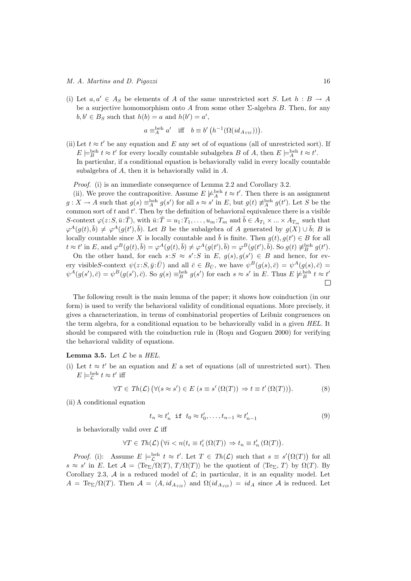## M. A. Martins and D. Pigozzi 16

(i) Let  $a, a' \in A_S$  be elements of A of the same unrestricted sort S. Let  $h : B \to A$ be a surjective homomorphism onto A from some other  $\Sigma$ -algebra B. Then, for any  $b, b' \in B_S$  such that  $h(b) = a$  and  $h(b') = a'$ ,

$$
a \equiv_A^{\text{beh}} a'
$$
 iff  $b \equiv b' (h^{-1}(\Omega(id_{A_{VIS}}))).$ 

(ii) Let  $t \approx t'$  be any equation and E any set of of equations (all of unrestricted sort). If  $E \models_B^{\text{beh}} t \approx t'$  for every locally countable subalgebra B of A, then  $E \models_A^{\text{beh}} t \approx t'.$ In particular, if a conditional equation is behaviorally valid in every locally countable subalgebra of A, then it is behaviorally valid in A.

Proof. (i) is an immediate consequence of Lemma 2.2 and Corollary 3.2.

(ii). We prove the contrapositive. Assume  $E \not\models_A^{\text{beh}} t \approx t'$ . Then there is an assignment  $g: X \to A$  such that  $g(s) \equiv_A^{\text{beh}} g(s')$  for all  $s \approx s'$  in E, but  $g(t) \not\equiv_A^{\text{beh}} g(t')$ . Let S be the common sort of  $t$  and  $t'$ . Then by the definition of behavioral equivalence there is a visible S-context  $\varphi(z;S,\bar{u}:\bar{T})$ , with  $\bar{u}:\bar{T}=u_1:T_1,\ldots,u_m:T_m$  and  $\bar{b}\in A_{T_1}\times\ldots\times A_{T_m}$  such that  $\varphi^A(g(t),\bar{b}) \neq \varphi^A(g(t'),\bar{b})$ . Let B be the subalgebra of A generated by  $g(X) \cup \bar{b}$ ; B is locally countable since X is locally countable and  $\bar{b}$  is finite. Then  $g(t), g(t') \in B$  for all  $t \approx t'$  in E, and  $\varphi^B(g(t), \bar{b}) = \varphi^A(g(t), \bar{b}) \neq \varphi^A(g(t'), \bar{b}) = \varphi^B(g(t'), \bar{b})$ . So  $g(t) \neq_B^{\text{beh}} g(t')$ .

On the other hand, for each  $s: S \approx s': S$  in E,  $g(s), g(s') \in B$  and hence, for every visibleS-context  $\psi(z;S,\bar{y}:\bar{U})$  and all  $\bar{c} \in B_{\bar{U}}$ , we have  $\psi^B(g(s),\bar{c}) = \psi^A(g(s),\bar{c})$  $\psi^A(g(s'),\bar{c}) = \psi^B(g(s'),\bar{c})$ . So  $g(s) \equiv_B^{\text{beh}} g(s')$  for each  $s \approx s'$  in E. Thus  $E \not\models_B^{\text{beh}} t \approx t'$ 

The following result is the main lemma of the paper; it shows how coinduction (in our form) is used to verify the behavioral validity of conditional equations. More precisely, it gives a characterization, in terms of combinatorial properties of Leibniz congruences on the term algebra, for a conditional equation to be behaviorally valid in a given HEL. It should be compared with the coinduction rule in  $(Ro$ su and Goguen 2000) for verifying the behavioral validity of equations.

**Lemma 3.5.** Let  $\mathcal{L}$  be a HEL.

(i) Let  $t \approx t'$  be an equation and E a set of equations (all of unrestricted sort). Then  $E \models_{\mathcal{L}}^{\text{beh}} t \approx t'$  iff

$$
\forall T \in Th(\mathcal{L}) \ (\forall (s \approx s') \in E \ (s \equiv s' \ (\Omega(T)) \Rightarrow t \equiv t' \ (\Omega(T))). \tag{8}
$$

(ii) A conditional equation

$$
t_n \approx t'_n \text{ if } t_0 \approx t'_0, \dots, t_{n-1} \approx t'_{n-1} \tag{9}
$$

is behaviorally valid over  $\mathcal L$  iff

$$
\forall T \in Th(\mathcal{L}) \ (\forall i < n(t_i \equiv t_i' \ (\Omega(T)) \ \Rightarrow \ t_n \equiv t_n' \ (\Omega(T)).
$$

*Proof.* (i): Assume  $E \models_{\mathcal{L}}^{\text{beh}} t \approx t'$ . Let  $T \in Th(\mathcal{L})$  such that  $s \equiv s'(\Omega(T))$  for all  $s \approx s'$  in E. Let  $\mathcal{A} = \langle Te_{\Sigma}/\Omega(T), T/\Omega(T) \rangle$  be the quotient of  $\langle Te_{\Sigma}, T \rangle$  by  $\Omega(T)$ . By Corollary 2.3,  $\mathcal A$  is a reduced model of  $\mathcal L$ ; in particular, it is an equality model. Let  $A = \text{Te}_{\Sigma}/\Omega(T)$ . Then  $\mathcal{A} = \langle A, id_{A_{VIS}} \rangle$  and  $\Omega(id_{A_{VIS}}) = id_A$  since A is reduced. Let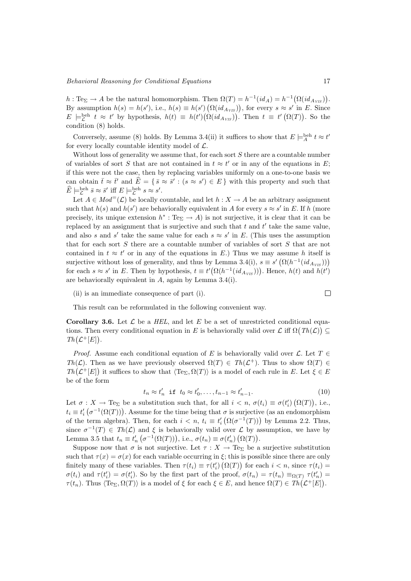$h: \text{Te}_{\Sigma} \to A$  be the natural homomorphism. Then  $\Omega(T) = h^{-1}(id_A) = h^{-1}(\Omega(id_{A_{VIS}})).$ By assumption  $h(s) = h(s')$ , i.e.,  $h(s) \equiv h(s') (\Omega(id_{A_{VIS}}))$ , for every  $s \approx s'$  in E. Since  $E \models_{\mathcal{L}}^{\text{beh}} t \approx t'$  by hypothesis,  $h(t) \equiv h(t')(\Omega(id_{A_{VIS}}))$ . Then  $t \equiv t'(\Omega(T))$ . So the condition (8) holds.

Conversely, assume (8) holds. By Lemma 3.4(ii) it suffices to show that  $E \models_A^{\text{beh}} t \approx t'$ for every locally countable identity model of  $\mathcal{L}$ .

Without loss of generality we assume that, for each sort  $S$  there are a countable number of variables of sort S that are not contained in  $t \approx t'$  or in any of the equations in E; if this were not the case, then by replacing variables uniformly on a one-to-one basis we can obtain  $\bar{t} \approx \bar{t}'$  and  $\widehat{E} = \{ \bar{s} \approx \bar{s}' : (s \approx s') \in E \}$  with this property and such that  $\widehat{E} \models_{\mathcal{L}}^{\text{beh}} \overline{s} \approx \overline{s}' \text{ iff } E \models_{\mathcal{L}}^{\text{beh}} s \approx s'.$ 

Let  $A \in Mod^=(\mathcal{L})$  be locally countable, and let  $h : X \to A$  be an arbitrary assignment such that  $h(s)$  and  $h(s')$  are behaviorally equivalent in A for every  $s \approx s'$  in E. If h (more precisely, its unique extension  $h^* : Te_{\Sigma} \to A$  is not surjective, it is clear that it can be replaced by an assignment that is surjective and such that  $t$  and  $t'$  take the same value, and also s and s' take the same value for each  $s \approx s'$  in E. (This uses the assumption that for each sort S there are a countable number of variables of sort S that are not contained in  $t \approx t'$  or in any of the equations in E.) Thus we may assume h itself is surjective without loss of generality, and thus by Lemma 3.4(i),  $s \equiv s' (\Omega(h^{-1}(id_{A_{VIS}})))$ for each  $s \approx s'$  in E. Then by hypothesis,  $t \equiv t'(\Omega(h^{-1}(id_{A_{VIS}})))$ . Hence,  $h(t)$  and  $h(t')$ are behaviorally equivalent in A, again by Lemma 3.4(i).

(ii) is an immediate consequence of part (i).

$$
\Box
$$

This result can be reformulated in the following convenient way.

**Corollary 3.6.** Let  $\mathcal{L}$  be a HEL, and let E be a set of unrestricted conditional equations. Then every conditional equation in E is behaviorally valid over  $\mathcal L$  iff  $\Omega(Th(\mathcal L)) \subseteq$  $Th(\mathcal{L}^+[E]).$ 

*Proof.* Assume each conditional equation of E is behaviorally valid over  $\mathcal{L}$ . Let  $T \in$ Th( $\mathcal{L}$ ). Then as we have previously observed  $\Omega(T) \in Th(\mathcal{L}^+)$ . Thus to show  $\Omega(T) \in$  $Th(\mathcal{L}^+[E])$  it suffices to show that  $\langle Te_{\Sigma}, \Omega(T) \rangle$  is a model of each rule in E. Let  $\xi \in E$ be of the form

$$
t_n \approx t'_n \quad \text{if} \quad t_0 \approx t'_0, \dots, t_{n-1} \approx t'_{n-1}.\tag{10}
$$

Let  $\sigma: X \to \text{Te}_{\Sigma}$  be a substitution such that, for all  $i < n$ ,  $\sigma(t_i) \equiv \sigma(t_i')(\Omega(T))$ , i.e.,  $t_i \equiv t_i'(\sigma^{-1}(\Omega(T)))$ . Assume for the time being that  $\sigma$  is surjective (as an endomorphism of the term algebra). Then, for each  $i < n$ ,  $t_i \equiv t'_i (\Omega(\sigma^{-1}(T)))$  by Lemma 2.2. Thus, since  $\sigma^{-1}(T) \in Th(\mathcal{L})$  and  $\xi$  is behaviorally valid over  $\mathcal{L}$  by assumption, we have by Lemma 3.5 that  $t_n \equiv t'_n \left( \sigma^{-1}(\Omega(T)) \right)$ , i.e.,  $\sigma(t_n) \equiv \sigma(t'_n) \left( \Omega(T) \right)$ .

Suppose now that  $\sigma$  is not surjective. Let  $\tau : X \to \text{Te}_{\Sigma}$  be a surjective substitution such that  $\tau(x) = \sigma(x)$  for each variable occurring in  $\xi$ ; this is possible since there are only finitely many of these variables. Then  $\tau(t_i) \equiv \tau(t'_i) (\Omega(T))$  for each  $i < n$ , since  $\tau(t_i) =$  $\sigma(t_i)$  and  $\tau(t'_i) = \sigma(t'_i)$ . So by the first part of the proof,  $\sigma(t_n) = \tau(t_n) \equiv_{\Omega(T)} \tau(t'_n)$  $\tau(t_n)$ . Thus  $\langle Te_\Sigma, \Omega(T) \rangle$  is a model of  $\xi$  for each  $\xi \in E$ , and hence  $\Omega(T) \in Th(\mathcal{L}^+[E])$ .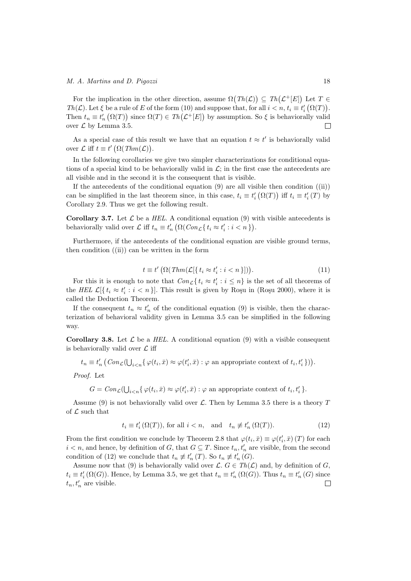For the implication in the other direction, assume  $\Omega(Th(\mathcal{L})) \subseteq Th(\mathcal{L}^+[E])$  Let  $T \in$ Th( $\mathcal{L}$ ). Let  $\xi$  be a rule of E of the form (10) and suppose that, for all  $i < n$ ,  $t_i \equiv t'_i (\Omega(T))$ . Then  $t_n \equiv t'_n(\Omega(T))$  since  $\Omega(T) \in Th(\mathcal{L}^+[E])$  by assumption. So  $\xi$  is behaviorally valid over  $\mathcal L$  by Lemma 3.5. П

As a special case of this result we have that an equation  $t \approx t'$  is behaviorally valid over  $\mathcal L$  iff  $t \equiv t' \left( \Omega(Thm(\mathcal L)) \right)$ .

In the following corollaries we give two simpler characterizations for conditional equations of a special kind to be behaviorally valid in  $\mathcal{L}$ ; in the first case the antecedents are all visible and in the second it is the consequent that is visible.

If the antecedents of the conditional equation  $(9)$  are all visible then condition  $((ii))$ can be simplified in the last theorem since, in this case,  $t_i \equiv t'_i (\Omega(T))$  iff  $t_i \equiv t'_i (T)$  by Corollary 2.9. Thus we get the following result.

**Corollary 3.7.** Let  $\mathcal{L}$  be a HEL. A conditional equation (9) with visible antecedents is behaviorally valid over  $\mathcal L$  iff  $t_n \equiv t'_n \left( \Omega(Con_{\mathcal L}\{t_i \approx t'_i : i < n\}) \right)$ .

Furthermore, if the antecedents of the conditional equation are visible ground terms, then condition  $(iii)$  can be written in the form

$$
t \equiv t' \left( \Omega \left( \text{Thm}(\mathcal{L}[\{ t_i \approx t_i' : i < n \}]) \right) \right). \tag{11}
$$

For this it is enough to note that  $Con_{\mathcal{L}}\{t_i \approx t'_i : i \leq n\}$  is the set of all theorems of the HEL  $\mathcal{L}[\{t_i \approx t'_i : i < n\}].$  This result is given by Roşu in (Roşu 2000), where it is called the Deduction Theorem.

If the consequent  $t_n \approx t'_n$  of the conditional equation (9) is visible, then the characterization of behavioral validity given in Lemma 3.5 can be simplified in the following way.

Corollary 3.8. Let  $\mathcal L$  be a HEL. A conditional equation (9) with a visible consequent is behaviorally valid over  $\mathcal L$  iff

 $t_n \equiv t'_n \left( Con_{\mathcal{L}}(\bigcup_{i < n} \{ \varphi(t_i, \bar{x}) \approx \varphi(t'_i, \bar{x}) : \varphi \text{ an appropriate context of } t_i, t'_i \} ) \right).$ 

Proof. Let

 $G = Con_{\mathcal{L}}(\bigcup_{i \leq n} \{ \varphi(t_i, \bar{x}) \approx \varphi(t'_i, \bar{x}) : \varphi \text{ an appropriate context of } t_i, t'_i \}.$ 

Assume (9) is not behaviorally valid over  $\mathcal{L}$ . Then by Lemma 3.5 there is a theory T of  $\mathcal L$  such that

$$
t_i \equiv t_i'(\Omega(T)), \text{ for all } i < n, \quad \text{and} \quad t_n \not\equiv t_n'(\Omega(T)). \tag{12}
$$

From the first condition we conclude by Theorem 2.8 that  $\varphi(t_i, \bar{x}) \equiv \varphi(t'_i, \bar{x})$  (T) for each  $i < n$ , and hence, by definition of G, that  $G \subseteq T$ . Since  $t_n, t'_n$  are visible, from the second condition of (12) we conclude that  $t_n \not\equiv t'_n(T)$ . So  $t_n \not\equiv t'_n(G)$ .

Assume now that (9) is behaviorally valid over  $\mathcal{L}$ .  $G \in Th(\mathcal{L})$  and, by definition of G,  $t_i \equiv t'_i(\Omega(G))$ . Hence, by Lemma 3.5, we get that  $t_n \equiv t'_n(\Omega(G))$ . Thus  $t_n \equiv t'_n(G)$  since  $t_n, t'_n$  are visible.  $\Box$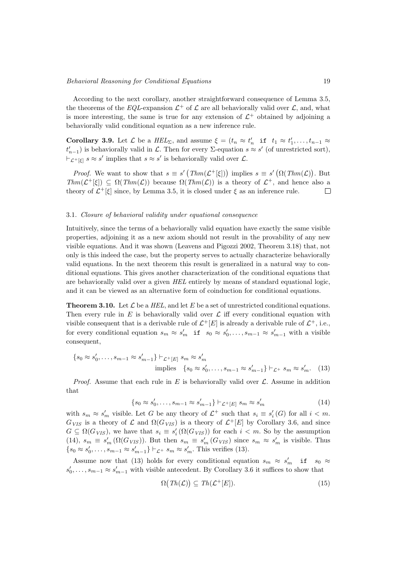According to the next corollary, another straightforward consequence of Lemma 3.5, the theorems of the EQL-expansion  $\mathcal{L}^+$  of  $\mathcal L$  are all behaviorally valid over  $\mathcal L$ , and, what is more interesting, the same is true for any extension of  $\mathcal{L}^+$  obtained by adjoining a behaviorally valid conditional equation as a new inference rule.

**Corollary 3.9.** Let  $\mathcal{L}$  be a  $HEL_{\Sigma}$ , and assume  $\xi = (t_n \approx t'_n \text{ if } t_1 \approx t'_1, \ldots, t_{n-1} \approx t'_n \text{ if } t_n \approx t'_n \text{ if } t_n \approx t'_n \text{ if } t_n \approx t'_n \text{ if } t_n \approx t'_n \text{ if } t_n \approx t'_n \text{ if } t_n \approx t'_n \text{ if } t_n \approx t'_n \text{ if } t_n \approx t'_n \text{ if } t_n \approx t'_n \text{ if } t_n \approx t'_n \text{ if }$  $t'_{n-1}$ ) is behaviorally valid in  $\mathcal{L}$ . Then for every  $\Sigma$ -equation  $s \approx s'$  (of unrestricted sort),  $\vdash_{\mathcal{L}^+[\xi]} s \approx s'$  implies that  $s \approx s'$  is behaviorally valid over  $\mathcal{L}$ .

*Proof.* We want to show that  $s \equiv s' \left( Thm(\mathcal{L}^+[\xi]) \right)$  implies  $s \equiv s' \left( \Omega(Thm(\mathcal{L})) \right)$ . But  $Thm(\mathcal{L}^+[\xi]) \subseteq \Omega(Thm(\mathcal{L}))$  because  $\Omega(Thm(\mathcal{L}))$  is a theory of  $\mathcal{L}^+$ , and hence also a theory of  $\mathcal{L}^+[\xi]$  since, by Lemma 3.5, it is closed under  $\xi$  as an inference rule.  $\Box$ 

## 3.1. Closure of behavioral validity under equational consequence

Intuitively, since the terms of a behaviorally valid equation have exactly the same visible properties, adjoining it as a new axiom should not result in the provability of any new visible equations. And it was shown (Leavens and Pigozzi 2002, Theorem 3.18) that, not only is this indeed the case, but the property serves to actually characterize behaviorally valid equations. In the next theorem this result is generalized in a natural way to conditional equations. This gives another characterization of the conditional equations that are behaviorally valid over a given HEL entirely by means of standard equational logic, and it can be viewed as an alternative form of coinduction for conditional equations.

**Theorem 3.10.** Let  $\mathcal{L}$  be a HEL, and let E be a set of unrestricted conditional equations. Then every rule in E is behaviorally valid over  $\mathcal L$  iff every conditional equation with visible consequent that is a derivable rule of  $\mathcal{L}^+[E]$  is already a derivable rule of  $\mathcal{L}^+$ , i.e., for every conditional equation  $s_m \approx s'_m$  if  $s_0 \approx s'_0, \ldots, s_{m-1} \approx s'_{m-1}$  with a visible consequent,

$$
\{s_0 \approx s'_0, \dots, s_{m-1} \approx s'_{m-1}\} \vdash_{\mathcal{L}^+[E]} s_m \approx s'_m
$$
  
implies 
$$
\{s_0 \approx s'_0, \dots, s_{m-1} \approx s'_{m-1}\} \vdash_{\mathcal{L}^+} s_m \approx s'_m.
$$
 (13)

*Proof.* Assume that each rule in E is behaviorally valid over  $\mathcal{L}$ . Assume in addition that

$$
\{s_0 \approx s'_0, \dots, s_{m-1} \approx s'_{m-1}\} \vdash_{\mathcal{L}^+[E]} s_m \approx s'_m \tag{14}
$$

with  $s_m \approx s'_m$  visible. Let G be any theory of  $\mathcal{L}^+$  such that  $s_i \equiv s'_i(G)$  for all  $i < m$ .  $G_{VIS}$  is a theory of  $\mathcal{L}$  and  $\Omega(G_{VIS})$  is a theory of  $\mathcal{L}^+[E]$  by Corollary 3.6, and since  $G \subseteq \Omega(G_{VIS})$ , we have that  $s_i \equiv s'_i(\Omega(G_{VIS}))$  for each  $i < m$ . So by the assumption (14),  $s_m \equiv s'_m (\Omega(G_{VIS}))$ . But then  $s_m \equiv s'_m (G_{VIS})$  since  $s_m \approx s'_m$  is visible. Thus  ${s_0 \approx s'_0, \ldots, s_{m-1} \approx s'_{m-1}} \vdash_{\mathcal{L}^+} s_m \approx s'_m$ . This verifies (13).

Assume now that (13) holds for every conditional equation  $s_m \approx s'_m$  if  $s_0 \approx$  $s'_0, \ldots, s_{m-1} \approx s'_{m-1}$  with visible antecedent. By Corollary 3.6 it suffices to show that

$$
\Omega\big(\text{Th}(\mathcal{L})\big) \subseteq \text{Th}(\mathcal{L}^+[E]).\tag{15}
$$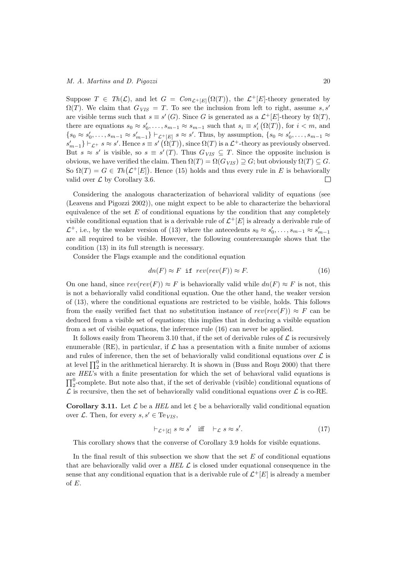Suppose  $T \in Th(\mathcal{L})$ , and let  $G = Con_{\mathcal{L}^+[E]}(\Omega(T))$ , the  $\mathcal{L}^+[E]$ -theory generated by  $\Omega(T)$ . We claim that  $G_{VIS} = T$ . To see the inclusion from left to right, assume s, s' are visible terms such that  $s \equiv s'(G)$ . Since G is generated as a  $\mathcal{L}^+[E]$ -theory by  $\Omega(T)$ , there are equations  $s_0 \approx s'_0, \ldots, s_{m-1} \approx s_{m-1}$  such that  $s_i \equiv s'_i(\Omega(T))$ , for  $i < m$ , and  $\{s_0 \approx s'_0, \ldots, s_{m-1} \approx s'_{m-1}\}\vdash_{\mathcal{L}^+[E]} s \approx s'.$  Thus, by assumption,  $\{s_0 \approx s'_0, \ldots, s_{m-1} \approx s'_0\}$  $s'_{m-1}\}\vdash_{\mathcal{L}^+} s\approx s'.$  Hence  $s\equiv s'\left(\Omega(T)\right),$  since  $\Omega(T)$  is a  $\mathcal{L}^+$ -theory as previously observed. But  $s \approx s'$  is visible, so  $s \equiv s'(T)$ . Thus  $G_{VIS} \subseteq T$ . Since the opposite inclusion is obvious, we have verified the claim. Then  $\Omega(T) = \Omega(G_{VIS}) \supseteq G$ ; but obviously  $\Omega(T) \subseteq G$ . So  $\Omega(T) = G \in Th(\mathcal{L}^+[E])$ . Hence (15) holds and thus every rule in E is behaviorally valid over  $\mathcal L$  by Corollary 3.6.  $\Box$ 

Considering the analogous characterization of behavioral validity of equations (see (Leavens and Pigozzi 2002)), one might expect to be able to characterize the behavioral equivalence of the set  $E$  of conditional equations by the condition that any completely visible conditional equation that is a derivable rule of  $\mathcal{L}^+[E]$  is already a derivable rule of  $\mathcal{L}^+$ , i.e., by the weaker version of (13) where the antecedents  $s_0 \approx s'_0, \ldots, s_{m-1} \approx s'_{m-1}$ are all required to be visible. However, the following counterexample shows that the condition (13) in its full strength is necessary.

Consider the Flags example and the conditional equation

$$
dn(F) \approx F \text{ if } rev(rev(F)) \approx F. \tag{16}
$$

On one hand, since  $rev(rev(F)) \approx F$  is behaviorally valid while  $dn(F) \approx F$  is not, this is not a behaviorally valid conditional equation. One the other hand, the weaker version of (13), where the conditional equations are restricted to be visible, holds. This follows from the easily verified fact that no substitution instance of  $rev(rev(F)) \approx F$  can be deduced from a visible set of equations; this implies that in deducing a visible equation from a set of visible equations, the inference rule (16) can never be applied.

It follows easily from Theorem 3.10 that, if the set of derivable rules of  $\mathcal L$  is recursively enumerable (RE), in particular, if  $\mathcal L$  has a presentation with a finite number of axioms and rules of inference, then the set of behaviorally valid conditional equations over  $\mathcal L$  is at level  $\prod_2^0$  in the arithmetical hierarchy. It is shown in (Buss and Roşu 2000) that there are HEL's with a finite presentation for which the set of behavioral valid equations is  $\prod_2^0$ -complete. But note also that, if the set of derivable (visible) conditional equations of  $\mathcal L$  is recursive, then the set of behaviorally valid conditional equations over  $\mathcal L$  is co-RE.

**Corollary 3.11.** Let  $\mathcal{L}$  be a HEL and let  $\xi$  be a behaviorally valid conditional equation over  $\mathcal{L}$ . Then, for every  $s, s' \in \text{Te}_{VIS}$ ,

$$
\vdash_{\mathcal{L}^+[\xi]} s \approx s' \quad \text{iff} \quad \vdash_{\mathcal{L}} s \approx s'. \tag{17}
$$

This corollary shows that the converse of Corollary 3.9 holds for visible equations.

In the final result of this subsection we show that the set  $E$  of conditional equations that are behaviorally valid over a HEL  $\mathcal L$  is closed under equational consequence in the sense that any conditional equation that is a derivable rule of  $\mathcal{L}^+[E]$  is already a member of E.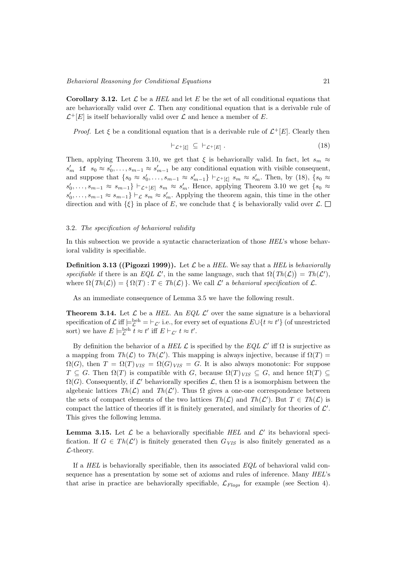**Corollary 3.12.** Let  $\mathcal{L}$  be a *HEL* and let  $E$  be the set of all conditional equations that are behaviorally valid over  $\mathcal{L}$ . Then any conditional equation that is a derivable rule of  $\mathcal{L}^+[E]$  is itself behaviorally valid over  $\mathcal L$  and hence a member of E.

*Proof.* Let  $\xi$  be a conditional equation that is a derivable rule of  $\mathcal{L}^+[E]$ . Clearly then

$$
\vdash_{\mathcal{L}^+[\xi]} \subseteq \vdash_{\mathcal{L}^+[\mathcal{E}]}.
$$
\n
$$
(18)
$$

Then, applying Theorem 3.10, we get that  $\xi$  is behaviorally valid. In fact, let  $s_m \approx$  $s'_m$  if  $s_0 \approx s'_0, \ldots, s_{m-1} \approx s'_{m-1}$  be any conditional equation with visible consequent, and suppose that  $\{s_0 \approx s'_0, \ldots, s_{m-1} \approx s'_{m-1}\}\vdash_{\mathcal{L}^+[\xi]} s_m \approx s'_m$ . Then, by (18),  $\{s_0 \approx s'_0, \ldots, s_{m-1} \approx s'_{m-1}\}\vdash_{\mathcal{L}^+[\xi]} s_m \approx s'_m$ .  $s'_0, \ldots, s_{m-1} \approx s_{m-1}$   $\vdash_{\mathcal{L}^+[E]} s_m \approx s'_m$ . Hence, applying Theorem 3.10 we get  $\{s_0 \approx$  $s'_0, \ldots, s_{m-1} \approx s_{m-1}$   $\vdash$   $\mathcal{L}$   $s_m \approx s'_m$ . Applying the theorem again, this time in the other direction and with  $\{\xi\}$  in place of E, we conclude that  $\xi$  is behaviorally valid over  $\mathcal{L}$ .  $\square$ 

#### 3.2. The specification of behavioral validity

In this subsection we provide a syntactic characterization of those HEL's whose behavioral validity is specifiable.

**Definition 3.13 ((Pigozzi 1999)).** Let  $\mathcal{L}$  be a HEL. We say that a HEL is behaviorally specifiable if there is an EQL  $\mathcal{L}'$ , in the same language, such that  $\Omega(Th(\mathcal{L})) = Th(\mathcal{L}')$ , where  $\Omega(Th(\mathcal{L})) = {\Omega(T) : T \in Th(\mathcal{L})}$ . We call  $\mathcal{L}'$  a behavioral specification of  $\mathcal{L}$ .

As an immediate consequence of Lemma 3.5 we have the following result.

**Theorem 3.14.** Let  $\mathcal{L}$  be a HEL. An EQL  $\mathcal{L}'$  over the same signature is a behavioral specification of  $\mathcal L$  iff  $\models_{\mathcal L}^{\text{beh}} = \vdash_{\mathcal L'}$  i.e., for every set of equations  $E \cup \{t \approx t'\}$  (of unrestricted sort) we have  $E \models_{\mathcal{L}}^{\text{beh}} t \approx t'$  iff  $E \vdash_{\mathcal{L}'} t \approx t'$ .

By definition the behavior of a HEL  $\mathcal L$  is specified by the EQL  $\mathcal L'$  iff  $\Omega$  is surjective as a mapping from  $Th(\mathcal{L})$  to  $Th(\mathcal{L}')$ . This mapping is always injective, because if  $\Omega(T)$  $\Omega(G)$ , then  $T = \Omega(T)_{VIS} = \Omega(G)_{VIS} = G$ . It is also always monotonic: For suppose  $T \subseteq G$ . Then  $\Omega(T)$  is compatible with G, because  $\Omega(T)_{VIS} \subseteq G$ , and hence  $\Omega(T) \subseteq$  $\Omega(G)$ . Consequently, if  $\mathcal{L}'$  behaviorally specifies  $\mathcal{L}$ , then  $\Omega$  is a isomorphism between the algebraic lattices  $Th(\mathcal{L})$  and  $Th(\mathcal{L}')$ . Thus  $\Omega$  gives a one-one correspondence between the sets of compact elements of the two lattices  $Th(\mathcal{L})$  and  $Th(\mathcal{L}')$ . But  $T \in Th(\mathcal{L})$  is compact the lattice of theories iff it is finitely generated, and similarly for theories of  $\mathcal{L}'$ . This gives the following lemma.

**Lemma 3.15.** Let  $\mathcal{L}$  be a behaviorally specifiable HEL and  $\mathcal{L}'$  its behavioral specification. If  $G \in Th(\mathcal{L}')$  is finitely generated then  $G_{VIS}$  is also finitely generated as a L-theory.

If a HEL is behaviorally specifiable, then its associated  $EQL$  of behavioral valid consequence has a presentation by some set of axioms and rules of inference. Many HEL's that arise in practice are behaviorally specifiable,  $\mathcal{L}_{Flags}$  for example (see Section 4).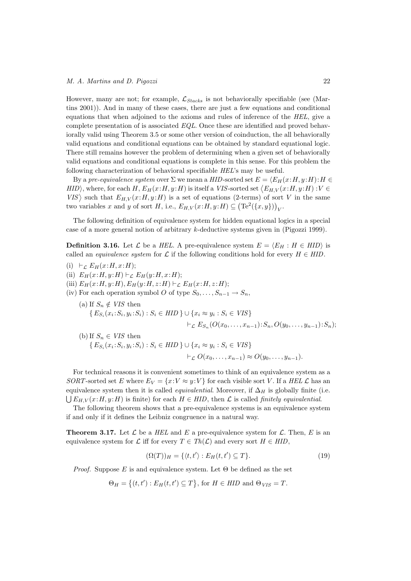However, many are not; for example,  $\mathcal{L}_{Stacks}$  is not behaviorally specifiable (see (Martins 2001)). And in many of these cases, there are just a few equations and conditional equations that when adjoined to the axioms and rules of inference of the HEL, give a complete presentation of is associated EQL. Once these are identified and proved behaviorally valid using Theorem 3.5 or some other version of coinduction, the all behaviorally valid equations and conditional equations can be obtained by standard equational logic. There still remains however the problem of determining when a given set of behaviorally valid equations and conditional equations is complete in this sense. For this problem the following characterization of behavioral specifiable HEL's may be useful.

By a pre-equivalence system over  $\Sigma$  we mean a HID-sorted set  $E = \langle E_H(x:H, y:H):H \in$  $HID$ , where, for each H,  $E_H(x:H, y:H)$  is itself a VIS-sorted set  $\langle E_{H,V}(x:H, y:H): V \in$ VIS) such that  $E_{H,V}(x:H,y:H)$  is a set of equations (2-terms) of sort V in the same two variables x and y of sort H, i.e.,  $E_{H,V}(x:H,y:H) \subseteq (\text{Te}^2(\lbrace x,y \rbrace))_V$ .

The following definition of equivalence system for hidden equational logics in a special case of a more general notion of arbitrary k-deductive systems given in (Pigozzi 1999).

**Definition 3.16.** Let  $\mathcal{L}$  be a HEL. A pre-equivalence system  $E = \langle E_H : H \in HID \rangle$  is called an *equivalence system* for  $\mathcal L$  if the following conditions hold for every  $H \in HID$ .

- (i)  $\vdash_{\mathcal{L}} E_H(x:H, x:H);$
- (ii)  $E_H(x:H, y:H) \vdash_{\mathcal{L}} E_H(y:H, x:H);$
- (iii)  $E_H(x:H, y:H), E_H(y:H, z:H) \vdash_{\mathcal{L}} E_H(x:H, z:H);$
- (iv) For each operation symbol O of type  $S_0, \ldots, S_{n-1} \to S_n$ ,
	- (a) If  $S_n \notin VIS$  then  $\{E_{S_i}(x_i; S_i, y_i; S_i) : S_i \in HID \} \cup \{x_i \approx y_i : S_i \in VIS\}$  $\vdash_{\mathcal{L}} E_{S_n}(O(x_0, \ldots, x_{n-1}):S_n, O(y_0, \ldots, y_{n-1}):S_n);$
	- (b) If  $S_n \in VIS$  then  $\{E_{S_i}(x_i; S_i, y_i; S_i) : S_i \in HID \} \cup \{x_i \approx y_i : S_i \in VIS\}$  $\vdash_L O(x_0, \ldots, x_{n-1}) \approx O(y_0, \ldots, y_{n-1}).$

For technical reasons it is convenient sometimes to think of an equivalence system as a SORT-sorted set E where  $E_V = \{x:V \approx y:V\}$  for each visible sort V. If a HEL L has an equivalence system then it is called *equivalential*. Moreover, if  $\Delta_H$  is globally finite (i.e.  $\bigcup E_{H,V}(x:H,y:H)$  is finite) for each  $H \in HID$ , then  $\mathcal L$  is called *finitely equivalential*.

The following theorem shows that a pre-equivalence systems is an equivalence system if and only if it defines the Leibniz congruence in a natural way.

**Theorem 3.17.** Let  $\mathcal{L}$  be a HEL and E a pre-equivalence system for  $\mathcal{L}$ . Then, E is an equivalence system for L iff for every  $T \in Th(\mathcal{L})$  and every sort  $H \in HID$ ,

$$
(\Omega(T))_H = \{ \langle t, t' \rangle : E_H(t, t') \subseteq T \}. \tag{19}
$$

*Proof.* Suppose E is and equivalence system. Let  $\Theta$  be defined as the set

$$
\Theta_H = \{(t, t'): E_H(t, t') \subseteq T\}
$$
, for  $H \in HID$  and  $\Theta_{VIS} = T$ .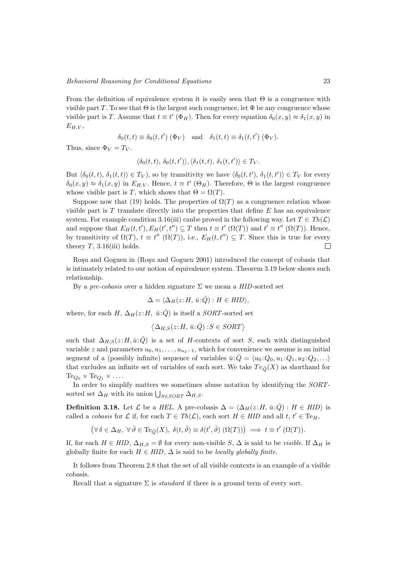From the definition of equivalence system it is easily seen that  $\Theta$  is a congruence with visible part T. To see that  $\Theta$  is the largest such congruence, let  $\Phi$  be any congruence whose visible part is T. Assume that  $t \equiv t'(\Phi_H)$ . Then for every equation  $\delta_0(x, y) \approx \delta_1(x, y)$  in  $E_{H,V}$ 

$$
\delta_0(t,t) \equiv \delta_0(t,t') \; (\Phi_V) \quad \text{and} \quad \delta_1(t,t) \equiv \delta_1(t,t') \; (\Phi_V).
$$

Thus, since  $\Phi_V = T_V$ .

$$
\langle \delta_0(t,t), \, \delta_0(t,t') \rangle, \langle \delta_1(t,t), \, \delta_1(t,t') \rangle \in T_V.
$$

But  $\langle \delta_0(t,t), \delta_1(t,t) \rangle \in T_V$ , so by transitivity we have  $\langle \delta_0(t,t'), \delta_1(t,t') \rangle \in T_V$  for every  $\delta_0(x,y) \approx \delta_1(x,y)$  in  $E_{H,V}$ . Hence,  $t \equiv t'$  ( $\Theta_H$ ). Therefore,  $\Theta$  is the largest congruence whose visible part is T, which shows that  $\Theta = \Omega(T)$ .

Suppose now that (19) holds. The properties of  $\Omega(T)$  as a congruence relation whose visible part is  $T$  translate directly into the properties that define  $E$  has an equivalence system. For example condition 3.16(iii) canbe proved in the following way. Let  $T \in Th(\mathcal{L})$ and suppose that  $E_H(t, t'), E_H(t', t'') \subseteq T$  then  $t \equiv t' (\Omega(T))$  and  $t' \equiv t'' (\Omega(T))$ . Hence, by transitivity of  $\Omega(T)$ ,  $t \equiv t''$   $(\Omega(T))$ , i.e.,  $E_H(t, t'') \subseteq T$ . Since this is true for every theory  $T$ , 3.16(iii) holds.  $\Box$ 

Roșu and Goguen in (Roșu and Goguen 2001) introduced the concept of cobasis that is intimately related to our notion of equivalence system. Theorem 3.19 below shows such relationship.

By a pre-cobasis over a hidden signature  $\Sigma$  we mean a HID-sorted set

$$
\Delta = \langle \Delta_H(z:H, \bar{u}:\bar{Q}) : H \in HID \rangle,
$$

where, for each H,  $\Delta_H(z:H, \bar{u}:\bar{Q})$  is itself a SORT-sorted set

$$
\langle \Delta_{H,S}(z:H, \bar{u}:\bar{Q}) : S \in \mathit{SORT} \rangle
$$

such that  $\Delta_{H,S}(z:H,\bar{u}:\bar{Q})$  is a set of H-contexts of sort S, each with distinguished variable z and parameters  $u_0, u_1, \ldots, u_{n_\delta-1}$ , which for convenience we assume is an initial segment of a (possibly infinite) sequence of variables  $\bar{u}:\bar{Q} = \langle u_0:Q_0, u_1:Q_1, u_2:Q_2, \ldots \rangle$ that excludes an infinite set of variables of each sort. We take  $Te_{\bar{O}}(X)$  as shorthand for  $Te_{Q_0} \times Te_{Q_1} \times \ldots$ 

In order to simplify matters we sometimes abuse notation by identifying the SORTsorted set  $\Delta_H$  with its union  $\bigcup_{S \in \text{SOR}T} \Delta_{H,S}$ .

**Definition 3.18.** Let  $\mathcal{L}$  be a HEL. A pre-cobasis  $\Delta = \langle \Delta_H(z : H, \bar{u} : \bar{Q}) : H \in HID \rangle$  is called a *cobasis* for L if, for each  $T \in Th(\mathcal{L})$ , each sort  $H \in HID$  and all  $t, t' \in Te_H$ ,

 $(\forall \delta \in \Delta_H, \ \forall \bar{\vartheta} \in \text{Te}_{\bar{Q}}(X), \ \delta(t, \bar{\vartheta}) \equiv \delta(t', \bar{\vartheta}) \ (\Omega(T))) \implies t \equiv t' \ (\Omega(T)).$ 

If, for each  $H \in HID$ ,  $\Delta_{H,S} = \emptyset$  for every non-visible S,  $\Delta$  is said to be *visible*. If  $\Delta_H$  is globally finite for each  $H \in HID$ ,  $\Delta$  is said to be *locally globally finite*.

It follows from Theorem 2.8 that the set of all visible contexts is an example of a visible cobasis.

Recall that a signature  $\Sigma$  is *standard* if there is a ground term of every sort.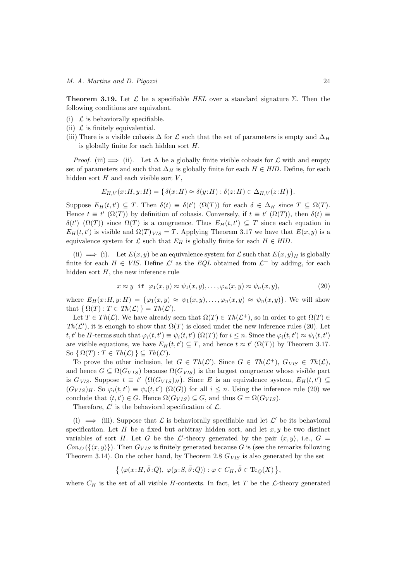**Theorem 3.19.** Let  $\mathcal{L}$  be a specifiable HEL over a standard signature  $\Sigma$ . Then the following conditions are equivalent.

- (i)  $\mathcal L$  is behaviorally specifiable.
- (ii)  $\mathcal L$  is finitely equivalential.
- (iii) There is a visible cobasis  $\Delta$  for  $\mathcal L$  such that the set of parameters is empty and  $\Delta_H$ is globally finite for each hidden sort H.

*Proof.* (iii)  $\implies$  (ii). Let  $\Delta$  be a globally finite visible cobasis for  $\mathcal L$  with and empty set of parameters and such that  $\Delta_H$  is globally finite for each  $H \in HID$ . Define, for each hidden sort  $H$  and each visible sort  $V$ ,

$$
E_{H,V}(x:H,y:H) = \{ \delta(x:H) \approx \delta(y:H) : \delta(z:H) \in \Delta_{H,V}(z:H) \}.
$$

Suppose  $E_H(t,t') \subseteq T$ . Then  $\delta(t) \equiv \delta(t')$   $(\Omega(T))$  for each  $\delta \in \Delta_H$  since  $T \subseteq \Omega(T)$ . Hence  $t \equiv t'$  ( $\Omega(T)$ ) by definition of cobasis. Conversely, if  $t \equiv t'$  ( $\Omega(T)$ ), then  $\delta(t) \equiv$ δ(t') (Ω(T)) since Ω(T) is a congruence. Thus  $E_H(t,t') \subseteq T$  since each equation in  $E_H(t, t')$  is visible and  $\Omega(T)_{VIS} = T$ . Applying Theorem 3.17 we have that  $E(x, y)$  is a equivalence system for  $\mathcal L$  such that  $E_H$  is globally finite for each  $H \in HID$ .

(ii)  $\implies$  (i). Let  $E(x, y)$  be an equivalence system for  $\mathcal L$  such that  $E(x, y)$  is globally finite for each  $H \in VIS$ . Define  $\mathcal{L}'$  as the  $EQL$  obtained from  $\mathcal{L}^+$  by adding, for each hidden sort  $H$ , the new inference rule

$$
x \approx y \quad \text{if} \quad \varphi_1(x, y) \approx \psi_1(x, y), \dots, \varphi_n(x, y) \approx \psi_n(x, y), \tag{20}
$$

where  $E_H(x;H, y;H) = \{\varphi_1(x,y) \approx \psi_1(x,y), \ldots, \varphi_n(x,y) \approx \psi_n(x,y)\}.$  We will show that  $\{ \Omega(T) : T \in Th(\mathcal{L}) \} = Th(\mathcal{L}').$ 

Let  $T \in Th(\mathcal{L})$ . We have already seen that  $\Omega(T) \in Th(\mathcal{L}^+)$ , so in order to get  $\Omega(T) \in$ Th( $\mathcal{L}'$ ), it is enough to show that  $\Omega(T)$  is closed under the new inference rules (20). Let t, t' be H-terms such that  $\varphi_i(t, t') \equiv \psi_i(t, t')$  ( $\Omega(T)$ ) for  $i \leq n$ . Since the  $\varphi_i(t, t') \approx \psi_i(t, t')$ are visible equations, we have  $E_H(t,t') \subseteq T$ , and hence  $t \approx t'$   $(\Omega(T))$  by Theorem 3.17. So  $\{ \Omega(T) : T \in Th(\mathcal{L}) \} \subseteq Th(\mathcal{L}')$ .

To prove the other inclusion, let  $G \in Th(\mathcal{L}')$ . Since  $G \in Th(\mathcal{L}^+)$ ,  $G_{VIS} \in Th(\mathcal{L})$ , and hence  $G \subseteq \Omega(G_{VIS})$  because  $\Omega(G_{VIS})$  is the largest congruence whose visible part is  $G_{VIS}$ . Suppose  $t \equiv t'$   $(\Omega(G_{VIS})_H)$ . Since E is an equivalence system,  $E_H(t,t') \subseteq$  $(G_{VIS})_H$ . So  $\varphi_i(t, t') \equiv \psi_i(t, t')$   $(\Omega(G))$  for all  $i \leq n$ . Using the inference rule (20) we conclude that  $\langle t, t' \rangle \in G$ . Hence  $\Omega(G_{VIS}) \subseteq G$ , and thus  $G = \Omega(G_{VIS})$ .

Therefore,  $\mathcal{L}'$  is the behavioral specification of  $\mathcal{L}$ .

(i)  $\implies$  (iii). Suppose that  $\mathcal L$  is behaviorally specifiable and let  $\mathcal L'$  be its behavioral specification. Let H be a fixed but arbitray hidden sort, and let  $x, y$  be two distinct variables of sort H. Let G be the  $\mathcal{L}'$ -theory generated by the pair  $\langle x, y \rangle$ , i.e.,  $G =$  $Con_{\mathcal{L}'}(\{(x, y)\})$ . Then  $G_{VIS}$  is finitely generated because G is (see the remarks following Theorem 3.14). On the other hand, by Theorem 2.8  $G_{VIS}$  is also generated by the set

$$
\big\{\langle \varphi(x\!:\!H,\bar{\vartheta}\!:\!\bar{Q}),\ \varphi(y\!:\!S,\bar{\vartheta}\!:\!\bar{Q})\rangle:\varphi\in C_H, \bar{\vartheta}\in\mathrm{Te}_{\bar{Q}}(X)\,\big\},
$$

where  $C_H$  is the set of all visible H-contexts. In fact, let T be the L-theory generated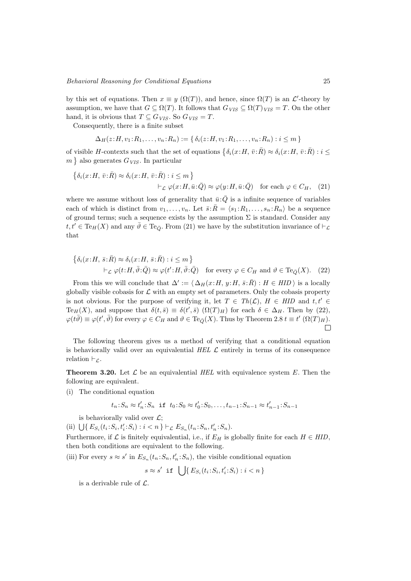by this set of equations. Then  $x \equiv y(\Omega(T))$ , and hence, since  $\Omega(T)$  is an  $\mathcal{L}'$ -theory by assumption, we have that  $G \subseteq \Omega(T)$ . It follows that  $G_{VIS} \subseteq \Omega(T)_{VIS} = T$ . On the other hand, it is obvious that  $T \subseteq G_{VIS}$ . So  $G_{VIS} = T$ .

Consequently, there is a finite subset

$$
\Delta_H(z: H, v_1: R_1, \ldots, v_n: R_n) := \{ \delta_i(z: H, v_1: R_1, \ldots, v_n: R_n) : i \leq m \}
$$

of visible H-contexts such that the set of equations  $\{\delta_i(x:H, \bar{v}:\bar{R}) \approx \delta_i(x:H, \bar{v}:\bar{R}) : i \leq$  $m\}$  also generates  $G_{VIS}$ . In particular

$$
\begin{aligned} \left\{ \delta_i(x;H,\,\bar{v}:\bar{R}) \approx \delta_i(x;H,\,\bar{v}:\bar{R}) : i \leq m \right\} \\ &\vdash_{\mathcal{L}} \varphi(x;H,\bar{u}:\bar{Q}) \approx \varphi(y;H,\bar{u}:\bar{Q}) \quad \text{for each } \varphi \in C_H, \quad (21) \end{aligned}
$$

where we assume without loss of generality that  $\bar{u}:\bar{Q}$  is a infinite sequence of variables each of which is distinct from  $v_1, \ldots, v_n$ . Let  $\bar{s} : \bar{R} = \langle s_1 : R_1, \ldots, s_n : R_n \rangle$  be a sequence of ground terms; such a sequence exists by the assumption  $\Sigma$  is standard. Consider any  $t, t' \in \text{Te}_H(X)$  and any  $\overline{\vartheta} \in \text{Te}_{\overline{\mathcal{O}}}$ . From (21) we have by the substitution invariance of  $\vdash_{\mathcal{L}}$ that

$$
\begin{aligned}\n\{\delta_i(x:H,\,\bar{s}:\bar{R}) &\approx \delta_i(x:H,\,\bar{s}:\bar{R}) : i \leq m\} \\
&\vdash_{\mathcal{L}} \varphi(t:H,\bar{\vartheta}:\bar{Q}) &\approx \varphi(t':H,\bar{\vartheta}:\bar{Q}) \quad \text{for every } \varphi \in C_H \text{ and } \vartheta \in \text{Te}_{\bar{Q}}(X). \tag{22}\n\end{aligned}
$$

From this we will conclude that  $\Delta' := \langle \Delta_H(x:H, y:H, \bar{s}:\bar{R}) : H \in HID \rangle$  is a locally globally visible cobasis for  $\mathcal L$  with an empty set of parameters. Only the cobasis property is not obvious. For the purpose of verifying it, let  $T \in Th(\mathcal{L})$ ,  $H \in HID$  and  $t, t' \in$ Te<sub>H</sub>(X), and suppose that  $\delta(t,\bar{s}) \equiv \delta(t',\bar{s})$  ( $\Omega(T)_H$ ) for each  $\delta \in \Delta_H$ . Then by (22),  $\varphi(t\overline{\vartheta}) \equiv \varphi(t',\overline{\vartheta})$  for every  $\varphi \in C_H$  and  $\vartheta \in Te_{\overline{Q}}(X)$ . Thus by Theorem 2.8  $t \equiv t'$   $(\Omega(T)_H)$ .  $\Box$ 

The following theorem gives us a method of verifying that a conditional equation is behaviorally valid over an equivalential HEL  $\mathcal L$  entirely in terms of its consequence relation  $\vdash_{\mathcal{L}}$ .

**Theorem 3.20.** Let  $\mathcal{L}$  be an equivalential HEL with equivalence system E. Then the following are equivalent.

(i) The conditional equation

$$
t_n: S_n \approx t'_n: S_n
$$
 if  $t_0: S_0 \approx t'_0: S_0, \ldots, t_{n-1}: S_{n-1} \approx t'_{n-1}: S_{n-1}$ 

is behaviorally valid over  $\mathcal{L}$ ;

(ii)  $\bigcup \{ E_{S_i}(t_i; S_i, t'_i; S_i) : i < n \} \vdash_{\mathcal{L}} E_{S_n}(t_n; S_n, t'_n; S_n).$ 

Furthermore, if  $\mathcal L$  is finitely equivalential, i.e., if  $E_H$  is globally finite for each  $H \in HID$ , then both conditions are equivalent to the following.

(iii) For every  $s \approx s'$  in  $E_{S_n}(t_n; S_n, t'_n; S_n)$ , the visible conditional equation

 $s \approx s'$  if  $\bigcup \{ E_{S_i}(t_i; S_i, t'_i; S_i) : i < n \}$ 

is a derivable rule of  $\mathcal{L}$ .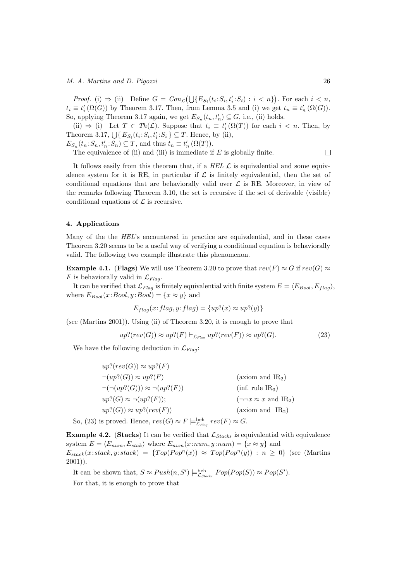*Proof.* (i)  $\Rightarrow$  (ii) Define  $G = Con_{\mathcal{L}}(\bigcup \{E_{S_i}(t_i; S_i, t'_i; S_i) : i < n\})$ . For each  $i < n$ ,  $t_i \equiv t'_i(\Omega(G))$  by Theorem 3.17. Then, from Lemma 3.5 and (i) we get  $t_n \equiv t'_n(\Omega(G))$ . So, applying Theorem 3.17 again, we get  $E_{S_n}(t_n, t'_n) \subseteq G$ , i.e., (ii) holds.

(ii)  $\Rightarrow$  (i) Let  $T \in Th(\mathcal{L})$ . Suppose that  $t_i \equiv t'_i(\Omega(T))$  for each  $i < n$ . Then, by Theorem 3.17,  $\bigcup \{ E_{S_i}(t_i; S_i, t'_i; S_i) \subseteq T$ . Hence, by (ii),  $E_{S_n}(t_n; S_n, t'_n; S_n) \subseteq T$ , and thus  $t_n \equiv t'_n (\Omega(T))$ .

The equivalence of (ii) and (iii) is immediate if  $E$  is globally finite.

It follows easily from this theorem that, if a  $HEL \mathcal{L}$  is equivalential and some equivalence system for it is RE, in particular if  $\mathcal L$  is finitely equivalential, then the set of conditional equations that are behaviorally valid over  $\mathcal L$  is RE. Moreover, in view of the remarks following Theorem 3.10, the set is recursive if the set of derivable (visible) conditional equations of  $\mathcal L$  is recursive.

## 4. Applications

Many of the the HEL's encountered in practice are equivalential, and in these cases Theorem 3.20 seems to be a useful way of verifying a conditional equation is behaviorally valid. The following two example illustrate this phenomenon.

**Example 4.1.** (Flags) We will use Theorem 3.20 to prove that  $rev(F) \approx G$  if  $rev(G) \approx$  $F$  is behaviorally valid in  $\mathcal{L}_{Flag}$ .

It can be verified that  $\mathcal{L}_{Flag}$  is finitely equivalential with finite system  $E = \langle E_{Bool}, E_{flag} \rangle$ , where  $E_{Bool}(x:Bool, y:Bool) = \{x \approx y\}$  and

$$
E_{flag}(x: flag, y: flag) = \{up?(x) \approx up?(y)\}
$$

(see (Martins 2001)). Using (ii) of Theorem 3.20, it is enough to prove that

$$
up?(rev(G)) \approx up?(F) \vdash_{\mathcal{L}_{Flag}} up?(rev(F)) \approx up?(G). \tag{23}
$$

We have the following deduction in  $\mathcal{L}_{Flas}$ :

 $up?(rev(G)) \approx up?(F)$  $\neg(wp? (G)) \approx up? (F)$  (axiom and IR<sub>2</sub>)  $\neg(\neg(wp? (G))) \approx \neg(wp? (F))$  (inf. rule IR<sub>3</sub>)  $up? (G) \approx \neg (up? (F));$  ( $\neg \neg x \approx x$  and IR<sub>2</sub>)  $up? (G)) \approx up? (rev(F))$  (axiom and IR<sub>2</sub>)

So, (23) is proved. Hence,  $rev(G) \approx F \models^{\text{beh}}_{\mathcal{L}_{Flag}} rev(F) \approx G$ .

**Example 4.2.** (Stacks) It can be verified that  $\mathcal{L}_{Stacks}$  is equivalential with equivalence system  $E = \langle E_{num}, E_{stak} \rangle$  where  $E_{num}(x:num, y:num) = \{x \approx y\}$  and  $E_{stack}(x:stack, y:stack) = \{Top(Pop^n(x)) \approx Top(Pop^n(y)) : n \geq 0\}$  (see (Martins 2001)).

It can be shown that,  $S \approx Push(n, S') \models_{\mathcal{L}_{Stacks}}^{beh} Pop(Pop(S)) \approx Pop(S').$ 

For that, it is enough to prove that

 $\Box$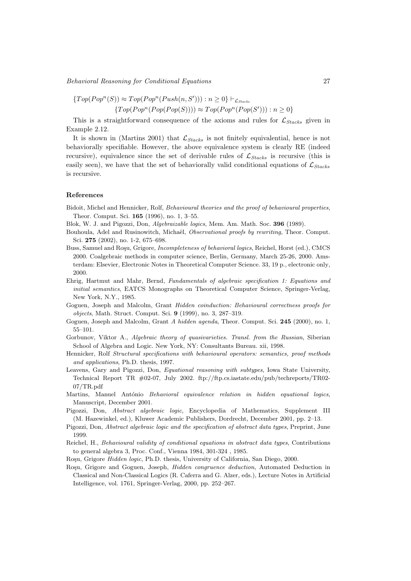$$
\{Top(Pop^n(S)) \approx Top(Pop^n(Push(n, S'))): n \ge 0\} \vdash_{\mathcal{L}_{Stacks}}\{Top(Pop^n(Pop(Pop(S)))) \approx Top(Pop^n(Pop(S'))): n \ge 0\}
$$

This is a straightforward consequence of the axioms and rules for  $\mathcal{L}_{Stacks}$  given in Example 2.12.

It is shown in (Martins 2001) that  $\mathcal{L}_{Stacks}$  is not finitely equivalential, hence is not behaviorally specifiable. However, the above equivalence system is clearly RE (indeed recursive), equivalence since the set of derivable rules of  $\mathcal{L}_{Stacks}$  is recursive (this is easily seen), we have that the set of behaviorally valid conditional equations of  $\mathcal{L}_{Stacks}$ is recursive.

## References

- Bidoit, Michel and Hennicker, Rolf, Behavioural theories and the proof of behavioural properties, Theor. Comput. Sci. 165 (1996), no. 1, 3–55.
- Blok, W. J. and Pigozzi, Don, Algebraizable logics, Mem. Am. Math. Soc. 396 (1989).
- Bouhoula, Adel and Rusinowitch, Michaël, Observational proofs by rewriting, Theor. Comput. Sci. 275 (2002), no. 1-2, 675–698.
- Buss, Samuel and Roşu, Grigore, Incompleteness of behavioral logics, Reichel, Horst (ed.), CMCS 2000. Coalgebraic methods in computer science, Berlin, Germany, March 25-26, 2000. Amsterdam: Elsevier, Electronic Notes in Theoretical Computer Science. 33, 19 p., electronic only, 2000.
- Ehrig, Hartmut and Mahr, Bernd, Fundamentals of algebraic specification 1: Equations and initial semantics, EATCS Monographs on Theoretical Computer Science, Springer-Verlag, New York, N.Y., 1985.
- Goguen, Joseph and Malcolm, Grant Hidden coinduction: Behavioural correctness proofs for objects, Math. Struct. Comput. Sci. 9 (1999), no. 3, 287–319.
- Goguen, Joseph and Malcolm, Grant A hidden agenda, Theor. Comput. Sci. 245 (2000), no. 1, 55–101.
- Gorbunov, Viktor A., Algebraic theory of quasivarieties. Transl. from the Russian, Siberian School of Algebra and Logic. New York, NY: Consultants Bureau. xii, 1998.
- Hennicker, Rolf Structural specifications with behavioural operators: semantics, proof methods and applications, Ph.D. thesis, 1997.
- Leavens, Gary and Pigozzi, Don, Equational reasoning with subtypes, Iowa State University, Technical Report TR #02-07, July 2002. ftp://ftp.cs.iastate.edu/pub/techreports/TR02- 07/TR.pdf
- Martins, Manuel António Behavioral equivalence relation in hidden equational logics, Manuscript, December 2001.
- Pigozzi, Don, Abstract algebraic logic, Encyclopedia of Mathematics, Supplement III (M. Hazewinkel, ed.), Kluwer Academic Publishers, Dordrecht, December 2001, pp. 2–13.
- Pigozzi, Don, Abstract algebraic logic and the specification of abstract data types, Preprint, June 1999.
- Reichel, H., Behavioural validity of conditional equations in abstract data types, Contributions to general algebra 3, Proc. Conf., Vienna 1984, 301-324 , 1985.
- Rosu, Grigore *Hidden logic*, Ph.D. thesis, University of California, San Diego, 2000.
- Rosu, Grigore and Goguen, Joseph, *Hidden congruence deduction*, Automated Deduction in Classical and Non-Classical Logics (R. Caferra and G. Alzer, eds.), Lecture Notes in Artificial Intelligence, vol. 1761, Springer-Verlag, 2000, pp. 252–267.